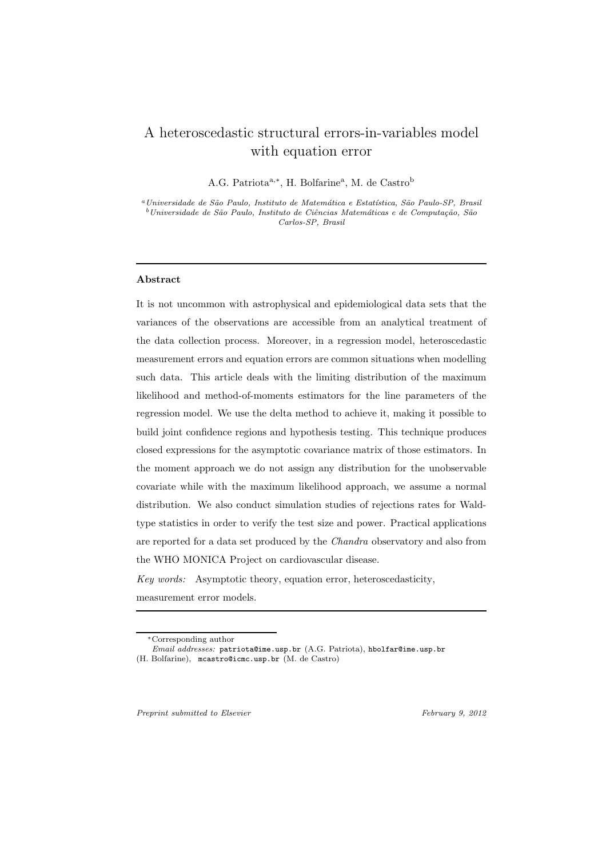# A heteroscedastic structural errors-in-variables model with equation error

A.G. Patriota<sup>a,∗</sup>, H. Bolfarine<sup>a</sup>, M. de Castro<sup>b</sup>

<sup>a</sup>Universidade de São Paulo, Instituto de Matemática e Estatística, São Paulo-SP, Brasil  $^b$ Universidade de São Paulo, Instituto de Ciências Matemáticas e de Computação, São Carlos-SP, Brasil

## Abstract

It is not uncommon with astrophysical and epidemiological data sets that the variances of the observations are accessible from an analytical treatment of the data collection process. Moreover, in a regression model, heteroscedastic measurement errors and equation errors are common situations when modelling such data. This article deals with the limiting distribution of the maximum likelihood and method-of-moments estimators for the line parameters of the regression model. We use the delta method to achieve it, making it possible to build joint confidence regions and hypothesis testing. This technique produces closed expressions for the asymptotic covariance matrix of those estimators. In the moment approach we do not assign any distribution for the unobservable covariate while with the maximum likelihood approach, we assume a normal distribution. We also conduct simulation studies of rejections rates for Waldtype statistics in order to verify the test size and power. Practical applications are reported for a data set produced by the *Chandra* observatory and also from the WHO MONICA Project on cardiovascular disease.

*Key words:* Asymptotic theory, equation error, heteroscedasticity, measurement error models.

Preprint submitted to Elsevier February 9, 2012

<sup>∗</sup>Corresponding author

Email addresses: patriota@ime.usp.br (A.G. Patriota), hbolfar@ime.usp.br (H. Bolfarine), mcastro@icmc.usp.br (M. de Castro)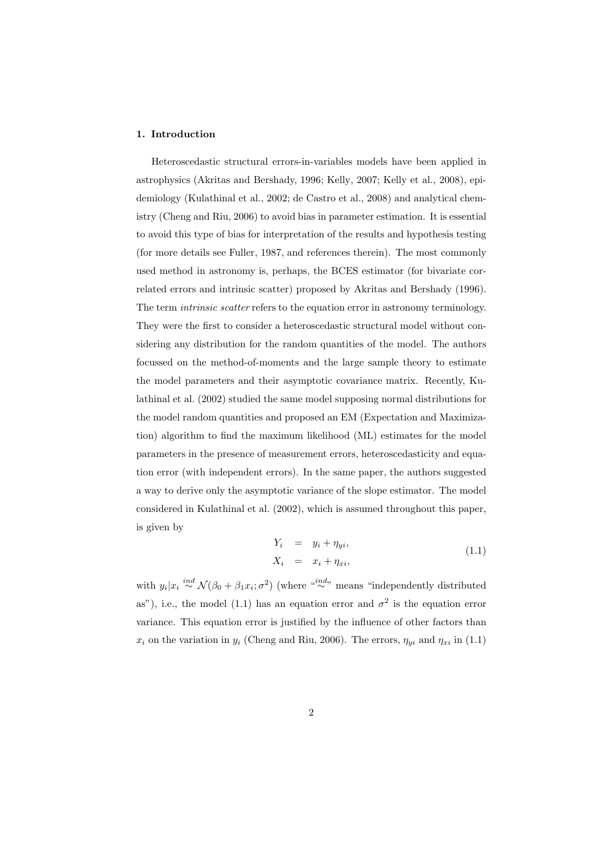# 1. Introduction

Heteroscedastic structural errors-in-variables models have been applied in astrophysics (Akritas and Bershady, 1996; Kelly, 2007; Kelly et al., 2008), epidemiology (Kulathinal et al., 2002; de Castro et al., 2008) and analytical chemistry (Cheng and Riu, 2006) to avoid bias in parameter estimation. It is essential to avoid this type of bias for interpretation of the results and hypothesis testing (for more details see Fuller, 1987, and references therein). The most commonly used method in astronomy is, perhaps, the BCES estimator (for bivariate correlated errors and intrinsic scatter) proposed by Akritas and Bershady (1996). The term *intrinsic scatter* refers to the equation error in astronomy terminology. They were the first to consider a heteroscedastic structural model without considering any distribution for the random quantities of the model. The authors focussed on the method-of-moments and the large sample theory to estimate the model parameters and their asymptotic covariance matrix. Recently, Kulathinal et al. (2002) studied the same model supposing normal distributions for the model random quantities and proposed an EM (Expectation and Maximization) algorithm to find the maximum likelihood (ML) estimates for the model parameters in the presence of measurement errors, heteroscedasticity and equation error (with independent errors). In the same paper, the authors suggested a way to derive only the asymptotic variance of the slope estimator. The model considered in Kulathinal et al. (2002), which is assumed throughout this paper, is given by

$$
Y_i = y_i + \eta_{yi},
$$
  
\n
$$
X_i = x_i + \eta_{xi},
$$
\n(1.1)

with  $y_i|x_i \stackrel{ind}{\sim} \mathcal{N}(\beta_0 + \beta_1 x_i; \sigma^2)$  (where " $\stackrel{ind}{\sim}$ " means "independently distributed as"), i.e., the model (1.1) has an equation error and  $\sigma^2$  is the equation error variance. This equation error is justified by the influence of other factors than  $x_i$  on the variation in  $y_i$  (Cheng and Riu, 2006). The errors,  $\eta_{yi}$  and  $\eta_{xi}$  in (1.1)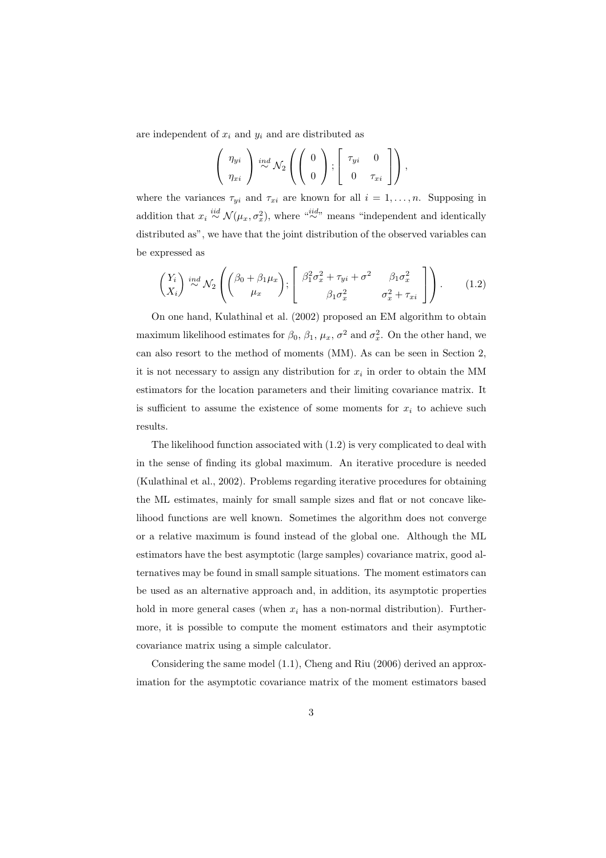are independent of  $x_i$  and  $y_i$  and are distributed as

$$
\left(\begin{array}{c}\eta_{yi} \\ \eta_{xi}\end{array}\right) \stackrel{ind}{\sim} \mathcal{N}_2\left(\left(\begin{array}{c}0 \\ 0\end{array}\right); \left[\begin{array}{cc}\tau_{yi} & 0 \\ 0 & \tau_{xi}\end{array}\right]\right),
$$

where the variances  $\tau_{yi}$  and  $\tau_{xi}$  are known for all  $i = 1, \ldots, n$ . Supposing in addition that  $x_i \stackrel{iid}{\sim} \mathcal{N}(\mu_x, \sigma_x^2)$ , where  $\stackrel{iid}{\sim}$  means "independent and identically distributed as", we have that the joint distribution of the observed variables can be expressed as

$$
\begin{pmatrix} Y_i \\ X_i \end{pmatrix} \stackrel{ind}{\sim} \mathcal{N}_2 \left( \begin{pmatrix} \beta_0 + \beta_1 \mu_x \\ \mu_x \end{pmatrix}; \begin{bmatrix} \beta_1^2 \sigma_x^2 + \tau_{yi} + \sigma^2 & \beta_1 \sigma_x^2 \\ \beta_1 \sigma_x^2 & \sigma_x^2 + \tau_{xi} \end{bmatrix} \right). \tag{1.2}
$$

On one hand, Kulathinal et al. (2002) proposed an EM algorithm to obtain maximum likelihood estimates for  $\beta_0$ ,  $\beta_1$ ,  $\mu_x$ ,  $\sigma^2$  and  $\sigma_x^2$ . On the other hand, we can also resort to the method of moments (MM). As can be seen in Section 2, it is not necessary to assign any distribution for  $x_i$  in order to obtain the MM estimators for the location parameters and their limiting covariance matrix. It is sufficient to assume the existence of some moments for  $x_i$  to achieve such results.

The likelihood function associated with (1.2) is very complicated to deal with in the sense of finding its global maximum. An iterative procedure is needed (Kulathinal et al., 2002). Problems regarding iterative procedures for obtaining the ML estimates, mainly for small sample sizes and flat or not concave likelihood functions are well known. Sometimes the algorithm does not converge or a relative maximum is found instead of the global one. Although the ML estimators have the best asymptotic (large samples) covariance matrix, good alternatives may be found in small sample situations. The moment estimators can be used as an alternative approach and, in addition, its asymptotic properties hold in more general cases (when  $x_i$  has a non-normal distribution). Furthermore, it is possible to compute the moment estimators and their asymptotic covariance matrix using a simple calculator.

Considering the same model (1.1), Cheng and Riu (2006) derived an approximation for the asymptotic covariance matrix of the moment estimators based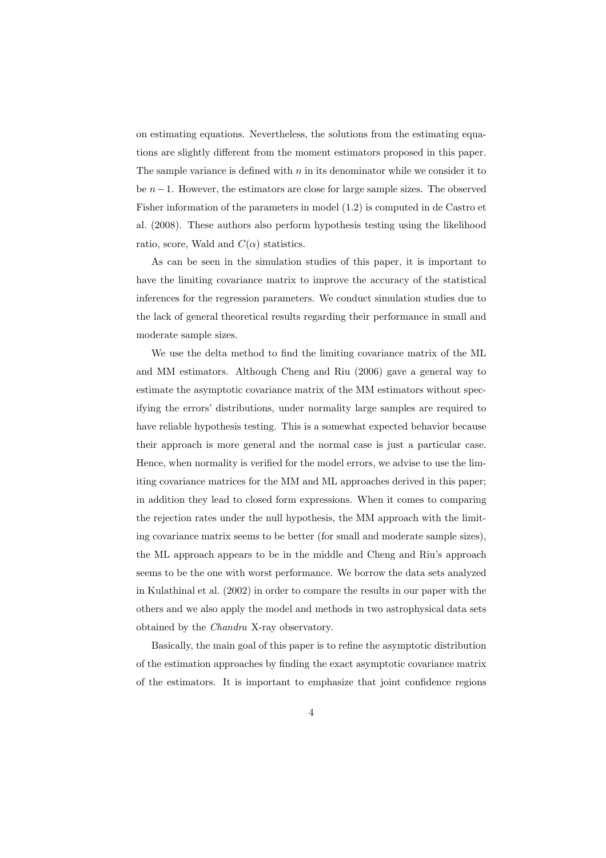on estimating equations. Nevertheless, the solutions from the estimating equations are slightly different from the moment estimators proposed in this paper. The sample variance is defined with  $n$  in its denominator while we consider it to be  $n-1$ . However, the estimators are close for large sample sizes. The observed Fisher information of the parameters in model (1.2) is computed in de Castro et al. (2008). These authors also perform hypothesis testing using the likelihood ratio, score, Wald and  $C(\alpha)$  statistics.

As can be seen in the simulation studies of this paper, it is important to have the limiting covariance matrix to improve the accuracy of the statistical inferences for the regression parameters. We conduct simulation studies due to the lack of general theoretical results regarding their performance in small and moderate sample sizes.

We use the delta method to find the limiting covariance matrix of the ML and MM estimators. Although Cheng and Riu (2006) gave a general way to estimate the asymptotic covariance matrix of the MM estimators without specifying the errors' distributions, under normality large samples are required to have reliable hypothesis testing. This is a somewhat expected behavior because their approach is more general and the normal case is just a particular case. Hence, when normality is verified for the model errors, we advise to use the limiting covariance matrices for the MM and ML approaches derived in this paper; in addition they lead to closed form expressions. When it comes to comparing the rejection rates under the null hypothesis, the MM approach with the limiting covariance matrix seems to be better (for small and moderate sample sizes), the ML approach appears to be in the middle and Cheng and Riu's approach seems to be the one with worst performance. We borrow the data sets analyzed in Kulathinal et al. (2002) in order to compare the results in our paper with the others and we also apply the model and methods in two astrophysical data sets obtained by the *Chandra* X-ray observatory.

Basically, the main goal of this paper is to refine the asymptotic distribution of the estimation approaches by finding the exact asymptotic covariance matrix of the estimators. It is important to emphasize that joint confidence regions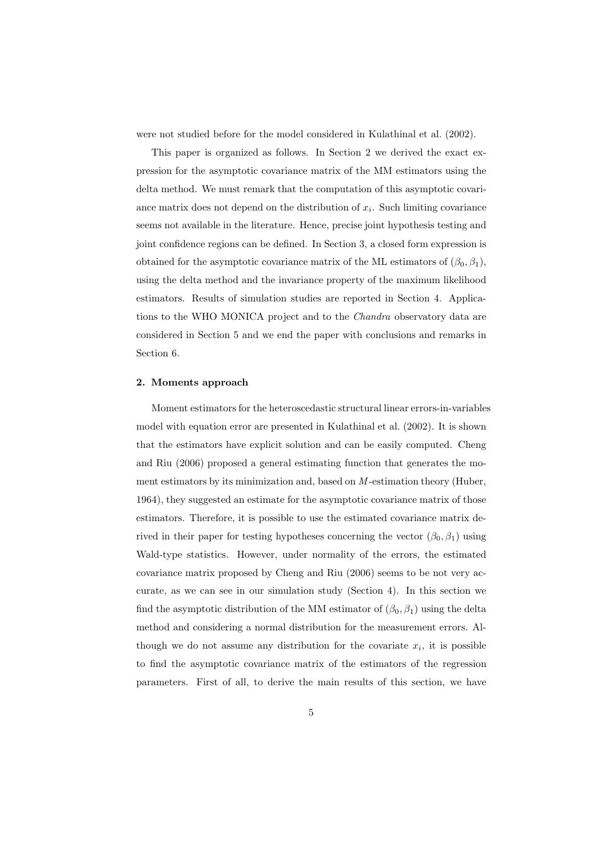were not studied before for the model considered in Kulathinal et al. (2002).

This paper is organized as follows. In Section 2 we derived the exact expression for the asymptotic covariance matrix of the MM estimators using the delta method. We must remark that the computation of this asymptotic covariance matrix does not depend on the distribution of  $x_i$ . Such limiting covariance seems not available in the literature. Hence, precise joint hypothesis testing and joint confidence regions can be defined. In Section 3, a closed form expression is obtained for the asymptotic covariance matrix of the ML estimators of  $(\beta_0, \beta_1)$ , using the delta method and the invariance property of the maximum likelihood estimators. Results of simulation studies are reported in Section 4. Applications to the WHO MONICA project and to the *Chandra* observatory data are considered in Section 5 and we end the paper with conclusions and remarks in Section 6.

# 2. Moments approach

Moment estimators for the heteroscedastic structural linear errors-in-variables model with equation error are presented in Kulathinal et al. (2002). It is shown that the estimators have explicit solution and can be easily computed. Cheng and Riu (2006) proposed a general estimating function that generates the moment estimators by its minimization and, based on *M* -estimation theory (Huber, 1964), they suggested an estimate for the asymptotic covariance matrix of those estimators. Therefore, it is possible to use the estimated covariance matrix derived in their paper for testing hypotheses concerning the vector  $(\beta_0, \beta_1)$  using Wald-type statistics. However, under normality of the errors, the estimated covariance matrix proposed by Cheng and Riu (2006) seems to be not very accurate, as we can see in our simulation study (Section 4). In this section we find the asymptotic distribution of the MM estimator of  $(\beta_0, \beta_1)$  using the delta method and considering a normal distribution for the measurement errors. Although we do not assume any distribution for the covariate  $x_i$ , it is possible to find the asymptotic covariance matrix of the estimators of the regression parameters. First of all, to derive the main results of this section, we have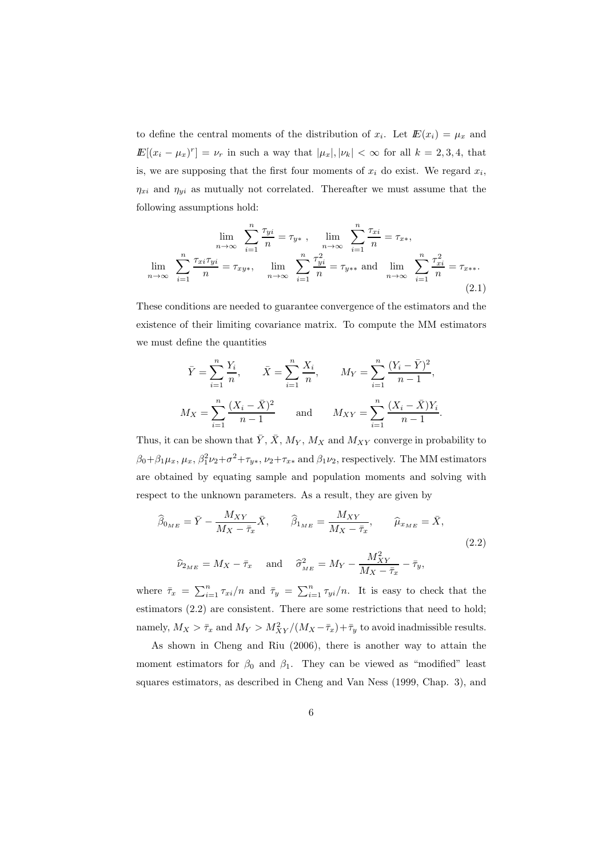to define the central moments of the distribution of  $x_i$ . Let  $E(x_i) = \mu_x$  and  $\mathbb{E}[(x_i - \mu_x)^r] = \nu_r$  in such a way that  $|\mu_x|, |\nu_k| < \infty$  for all  $k = 2, 3, 4$ , that is, we are supposing that the first four moments of  $x_i$  do exist. We regard  $x_i$ ,  $\eta_{xi}$  and  $\eta_{yi}$  as mutually not correlated. Thereafter we must assume that the following assumptions hold:

$$
\lim_{n \to \infty} \sum_{i=1}^{n} \frac{\tau_{yi}}{n} = \tau_{y*} , \quad \lim_{n \to \infty} \sum_{i=1}^{n} \frac{\tau_{xi}}{n} = \tau_{x*},
$$

$$
\lim_{n \to \infty} \sum_{i=1}^{n} \frac{\tau_{xi}\tau_{yi}}{n} = \tau_{xy*}, \quad \lim_{n \to \infty} \sum_{i=1}^{n} \frac{\tau_{yi}^2}{n} = \tau_{y**} \text{ and } \lim_{n \to \infty} \sum_{i=1}^{n} \frac{\tau_{xi}^2}{n} = \tau_{x**}.
$$
(2.1)

These conditions are needed to guarantee convergence of the estimators and the existence of their limiting covariance matrix. To compute the MM estimators we must define the quantities

$$
\bar{Y} = \sum_{i=1}^{n} \frac{Y_i}{n}, \qquad \bar{X} = \sum_{i=1}^{n} \frac{X_i}{n}, \qquad M_Y = \sum_{i=1}^{n} \frac{(Y_i - \bar{Y})^2}{n-1},
$$
  

$$
M_X = \sum_{i=1}^{n} \frac{(X_i - \bar{X})^2}{n-1} \qquad \text{and} \qquad M_{XY} = \sum_{i=1}^{n} \frac{(X_i - \bar{X})Y_i}{n-1}.
$$

Thus, it can be shown that  $\bar{Y}, \bar{X}, M_Y, M_X$  and  $M_{XY}$  converge in probability to  $\beta_0+\beta_1\mu_x, \mu_x, \beta_1^2\nu_2+\sigma^2+\tau_{y*}, \nu_2+\tau_{x*}$  and  $\beta_1\nu_2$ , respectively. The MM estimators are obtained by equating sample and population moments and solving with respect to the unknown parameters. As a result, they are given by

$$
\widehat{\beta}_{0_{ME}} = \bar{Y} - \frac{M_{XY}}{M_X - \bar{\tau}_x} \bar{X}, \qquad \widehat{\beta}_{1_{ME}} = \frac{M_{XY}}{M_X - \bar{\tau}_x}, \qquad \widehat{\mu}_{x_{ME}} = \bar{X},
$$
\n
$$
\widehat{\nu}_{2_{ME}} = M_X - \bar{\tau}_x \quad \text{and} \quad \widehat{\sigma}_{_{ME}}^2 = M_Y - \frac{M_{XY}^2}{M_X - \bar{\tau}_x} - \bar{\tau}_y,
$$
\n(2.2)

where  $\bar{\tau}_x = \sum_{i=1}^n \tau_{xi}/n$  and  $\bar{\tau}_y = \sum_{i=1}^n \tau_{yi}/n$ . It is easy to check that the estimators (2.2) are consistent. There are some restrictions that need to hold; namely,  $M_X > \bar{\tau}_x$  and  $M_Y > M_{XY}^2/(M_X - \bar{\tau}_x) + \bar{\tau}_y$  to avoid inadmissible results.

As shown in Cheng and Riu (2006), there is another way to attain the moment estimators for  $\beta_0$  and  $\beta_1$ . They can be viewed as "modified" least squares estimators, as described in Cheng and Van Ness (1999, Chap. 3), and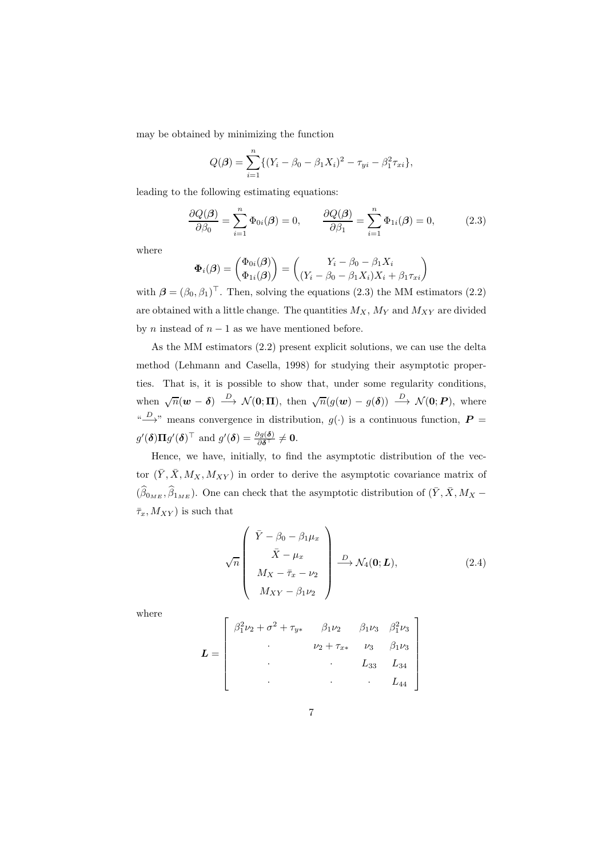may be obtained by minimizing the function

$$
Q(\boldsymbol{\beta}) = \sum_{i=1}^{n} \{ (Y_i - \beta_0 - \beta_1 X_i)^2 - \tau_{yi} - \beta_1^2 \tau_{xi} \},
$$

leading to the following estimating equations:

$$
\frac{\partial Q(\boldsymbol{\beta})}{\partial \beta_0} = \sum_{i=1}^n \Phi_{0i}(\boldsymbol{\beta}) = 0, \qquad \frac{\partial Q(\boldsymbol{\beta})}{\partial \beta_1} = \sum_{i=1}^n \Phi_{1i}(\boldsymbol{\beta}) = 0, \tag{2.3}
$$

where

$$
\Phi_i(\boldsymbol{\beta}) = \begin{pmatrix} \Phi_{0i}(\boldsymbol{\beta}) \\ \Phi_{1i}(\boldsymbol{\beta}) \end{pmatrix} = \begin{pmatrix} Y_i - \beta_0 - \beta_1 X_i \\ (Y_i - \beta_0 - \beta_1 X_i) X_i + \beta_1 \tau_{xi} \end{pmatrix}
$$

with  $\boldsymbol{\beta} = (\beta_0, \beta_1)^{\top}$ . Then, solving the equations (2.3) the MM estimators (2.2) are obtained with a little change. The quantities  $M_X$ ,  $M_Y$  and  $M_{XY}$  are divided by *n* instead of  $n - 1$  as we have mentioned before.

As the MM estimators (2.2) present explicit solutions, we can use the delta method (Lehmann and Casella, 1998) for studying their asymptotic properties. That is, it is possible to show that, under some regularity conditions, when  $\sqrt{n}(\mathbf{w}-\mathbf{\delta}) \stackrel{D}{\longrightarrow} \mathcal{N}(\mathbf{0};\mathbf{\Pi})$ , then  $\sqrt{n}(g(\mathbf{w})-g(\mathbf{\delta})) \stackrel{D}{\longrightarrow} \mathcal{N}(\mathbf{0};\mathbf{P})$ , where "  $\longrightarrow$ " means convergence in distribution,  $g(\cdot)$  is a continuous function,  $P =$  $g'(\boldsymbol{\delta})\boldsymbol{\Pi}g'(\boldsymbol{\delta})^{\top}$  and  $g'(\boldsymbol{\delta})=\frac{\partial g(\boldsymbol{\delta})}{\partial \boldsymbol{\delta}^{\top}}\neq \boldsymbol{0}$ .

Hence, we have, initially, to find the asymptotic distribution of the vector  $(\bar{Y}, \bar{X}, M_X, M_{XY})$  in order to derive the asymptotic covariance matrix of  $(\widehat{\beta}_{0_{ME}}, \widehat{\beta}_{1_{ME}})$ . One can check that the asymptotic distribution of  $(\bar{Y}, \bar{X}, M_X \bar{\tau}_x, M_{XY}$  is such that

$$
\sqrt{n}\begin{pmatrix}\n\bar{Y} - \beta_0 - \beta_1 \mu_x \\
\bar{X} - \mu_x \\
M_X - \bar{\tau}_x - \nu_2 \\
M_{XY} - \beta_1 \nu_2\n\end{pmatrix} \xrightarrow{D} \mathcal{N}_4(\mathbf{0}; L),
$$
\n(2.4)

where

$$
\boldsymbol{L} = \begin{bmatrix} \beta_1^2 \nu_2 + \sigma^2 + \tau_{y*} & \beta_1 \nu_2 & \beta_1 \nu_3 & \beta_1^2 \nu_3 \\ \cdot & \cdot & \nu_2 + \tau_{x*} & \nu_3 & \beta_1 \nu_3 \\ \cdot & \cdot & \cdot & \cdot & \cdot \\ \cdot & \cdot & \cdot & \cdot & \cdot \\ \cdot & \cdot & \cdot & \cdot & \cdot \\ \cdot & \cdot & \cdot & \cdot & \cdot \\ \end{bmatrix}
$$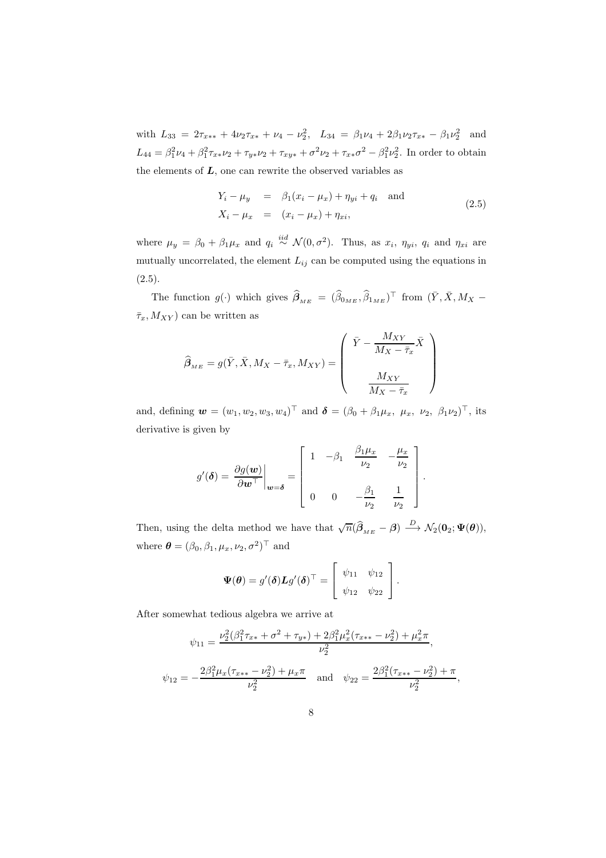with  $L_{33} = 2\tau_{x**} + 4\nu_2\tau_{x*} + \nu_4 - \nu_2^2$ ,  $L_{34} = \beta_1\nu_4 + 2\beta_1\nu_2\tau_{x*} - \beta_1\nu_2^2$  and  $L_{44} = \beta_1^2 \nu_4 + \beta_1^2 \tau_{xx} \nu_2 + \tau_{yy} \nu_2 + \tau_{xy} \nu_3 + \sigma^2 \nu_2 + \tau_{xx} \sigma^2 - \beta_1^2 \nu_2^2$ . In order to obtain the elements of  $L$ , one can rewrite the observed variables as

$$
Y_i - \mu_y = \beta_1(x_i - \mu_x) + \eta_{yi} + q_i \text{ and}
$$
  
\n
$$
X_i - \mu_x = (x_i - \mu_x) + \eta_{xi},
$$
\n(2.5)

where  $\mu_y = \beta_0 + \beta_1 \mu_x$  and  $q_i \stackrel{iid}{\sim} \mathcal{N}(0, \sigma^2)$ . Thus, as  $x_i$ ,  $\eta_{yi}$ ,  $q_i$  and  $\eta_{xi}$  are mutually uncorrelated, the element  $L_{ij}$  can be computed using the equations in  $(2.5).$ 

The function  $g(\cdot)$  which gives  $\hat{\beta}_{_{ME}} = (\hat{\beta}_{0_{ME}}, \hat{\beta}_{1_{ME}})^\top$  from  $(\bar{Y}, \bar{X}, M_X \bar{\tau}_x, M_{XY}$  can be written as

$$
\widehat{\beta}_{\scriptscriptstyle ME} = g(\bar{Y}, \bar{X}, M_X - \bar{\tau}_x, M_{XY}) = \left(\begin{array}{c} \bar{Y} - \frac{M_{XY}}{M_X - \bar{\tau}_x} \bar{X} \\ \\ \frac{M_{XY}}{M_X - \bar{\tau}_x} \end{array}\right)
$$

and, defining  $\mathbf{w} = (w_1, w_2, w_3, w_4)^\top$  and  $\mathbf{\delta} = (\beta_0 + \beta_1 \mu_x, \mu_x, \nu_2, \beta_1 \nu_2)^\top$ , its derivative is given by

$$
g'(\boldsymbol{\delta}) = \left. \frac{\partial g(\boldsymbol{w})}{\partial \boldsymbol{w}^{\top}} \right|_{\boldsymbol{w} = \boldsymbol{\delta}} = \left[ \begin{array}{ccc} 1 & -\beta_1 & \frac{\beta_1 \mu_x}{\nu_2} & -\frac{\mu_x}{\nu_2} \\ 0 & 0 & -\frac{\beta_1}{\nu_2} & \frac{1}{\nu_2} \end{array} \right].
$$

Then, using the delta method we have that  $\sqrt{n}(\hat{\beta}_{_{ME}} - \beta) \stackrel{D}{\longrightarrow} \mathcal{N}_2(\mathbf{0}_2; \Psi(\theta)),$ where  $\boldsymbol{\theta} = (\beta_0, \beta_1, \mu_x, \nu_2, \sigma^2)^\top$  and

$$
\mathbf{\Psi}(\boldsymbol{\theta}) = g'(\boldsymbol{\delta}) \mathbf{L} g'(\boldsymbol{\delta})^{\top} = \begin{bmatrix} \psi_{11} & \psi_{12} \\ \psi_{12} & \psi_{22} \end{bmatrix}.
$$

After somewhat tedious algebra we arrive at

$$
\psi_{11} = \frac{\nu_2^2(\beta_1^2 \tau_{x*} + \sigma^2 + \tau_{y*}) + 2\beta_1^2 \mu_x^2(\tau_{x**} - \nu_2^2) + \mu_x^2 \pi}{\nu_2^2},
$$
  

$$
\psi_{12} = -\frac{2\beta_1^2 \mu_x(\tau_{x**} - \nu_2^2) + \mu_x \pi}{\nu_2^2} \quad \text{and} \quad \psi_{22} = \frac{2\beta_1^2(\tau_{x**} - \nu_2^2) + \pi}{\nu_2^2}
$$

,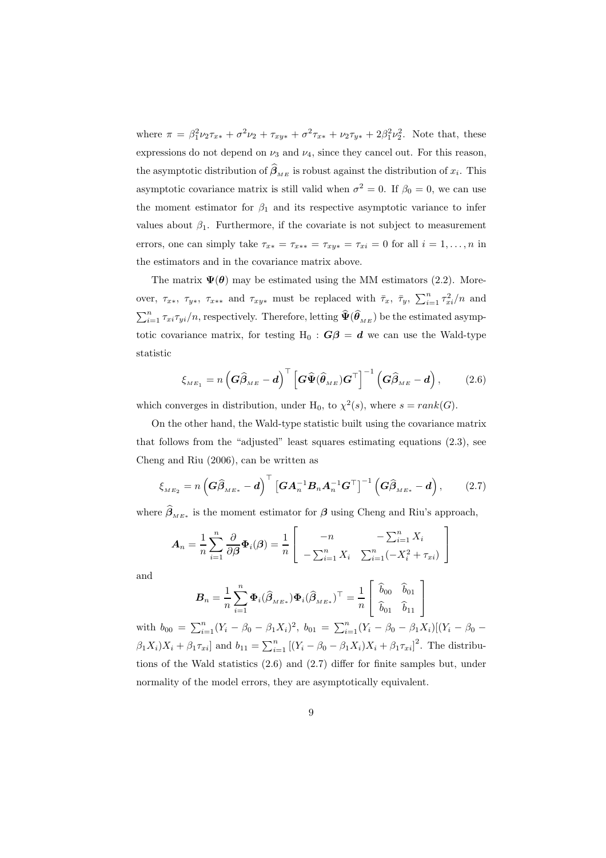where  $\pi = \beta_1^2 \nu_2 \tau_{xx} + \sigma^2 \nu_2 + \tau_{xy*} + \sigma^2 \tau_{xx} + \nu_2 \tau_{y*} + 2\beta_1^2 \nu_2^2$ . Note that, these expressions do not depend on  $\nu_3$  and  $\nu_4$ , since they cancel out. For this reason, the asymptotic distribution of  $\beta_{\substack{ME}}$  is robust against the distribution of  $x_i$ . This asymptotic covariance matrix is still valid when  $\sigma^2 = 0$ . If  $\beta_0 = 0$ , we can use the moment estimator for  $\beta_1$  and its respective asymptotic variance to infer values about  $\beta_1$ . Furthermore, if the covariate is not subject to measurement errors, one can simply take  $\tau_{x*} = \tau_{x**} = \tau_{xy*} = \tau_{xi} = 0$  for all  $i = 1, ..., n$  in the estimators and in the covariance matrix above.

The matrix  $\Psi(\theta)$  may be estimated using the MM estimators (2.2). Moreover,  $\tau_{x*}$ ,  $\tau_{y*}$ ,  $\tau_{x**}$  and  $\tau_{xy*}$  must be replaced with  $\bar{\tau}_x$ ,  $\bar{\tau}_y$ ,  $\sum_{i=1}^n \tau_{xi}^2/n$  and  $\sum_{i=1}^n \tau_{xi}\tau_{yi}/n$ , respectively. Therefore, letting  $\widehat{\Psi}(\widehat{\theta}_{_{ME}})$  be the estimated asymptotic covariance matrix, for testing H<sub>0</sub> :  $G\beta = d$  we can use the Wald-type statistic

$$
\xi_{_{ME_1}} = n \left( \widehat{\mathbf{G}\widehat{\boldsymbol{\beta}}}_{_{ME}} - \boldsymbol{d} \right)^{\top} \left[ \widehat{\mathbf{G}\Psi}(\widehat{\boldsymbol{\theta}}_{_{ME}}) \mathbf{G}^{\top} \right]^{-1} \left( \widehat{\mathbf{G}\widehat{\boldsymbol{\beta}}}_{_{ME}} - \boldsymbol{d} \right), \tag{2.6}
$$

which converges in distribution, under H<sub>0</sub>, to  $\chi^2(s)$ , where  $s = rank(G)$ .

On the other hand, the Wald-type statistic built using the covariance matrix that follows from the "adjusted" least squares estimating equations (2.3), see Cheng and Riu (2006), can be written as

$$
\xi_{\scriptscriptstyle ME_2} = n \left( \boldsymbol{G} \widehat{\boldsymbol{\beta}}_{\scriptscriptstyle ME*} - \boldsymbol{d} \right)^{\top} \left[ \boldsymbol{G} \boldsymbol{A}_{n}^{-1} \boldsymbol{B}_{n} \boldsymbol{A}_{n}^{-1} \boldsymbol{G}^{\top} \right]^{-1} \left( \boldsymbol{G} \widehat{\boldsymbol{\beta}}_{\scriptscriptstyle ME*} - \boldsymbol{d} \right), \tag{2.7}
$$

where  $\beta_{_{ME*}}$  is the moment estimator for  $\beta$  using Cheng and Riu's approach,

$$
A_n = \frac{1}{n} \sum_{i=1}^n \frac{\partial}{\partial \beta} \Phi_i(\beta) = \frac{1}{n} \begin{bmatrix} -n & -\sum_{i=1}^n X_i \\ -\sum_{i=1}^n X_i & \sum_{i=1}^n (-X_i^2 + \tau_{xi}) \end{bmatrix}
$$

and

$$
\boldsymbol{B}_n = \frac{1}{n} \sum_{i=1}^n \boldsymbol{\Phi}_i(\widehat{\boldsymbol{\beta}}_{\scriptscriptstyle M E*}) \boldsymbol{\Phi}_i(\widehat{\boldsymbol{\beta}}_{\scriptscriptstyle M E*})^\top = \frac{1}{n} \left[ \begin{array}{cc} \widehat{b}_{00} & \widehat{b}_{01} \\ \widehat{b}_{01} & \widehat{b}_{11} \end{array} \right]
$$

with  $b_{00} = \sum_{i=1}^{n} (Y_i - \beta_0 - \beta_1 X_i)^2$ ,  $b_{01} = \sum_{i=1}^{n} (Y_i - \beta_0 - \beta_1 X_i)[(Y_i - \beta_0 \beta_1 X_i$ ) $X_i + \beta_1 \tau_{xi}$  and  $b_{11} = \sum_{i=1}^n \left[ (Y_i - \beta_0 - \beta_1 X_i) X_i + \beta_1 \tau_{xi} \right]^2$ . The distributions of the Wald statistics (2.6) and (2.7) differ for finite samples but, under normality of the model errors, they are asymptotically equivalent.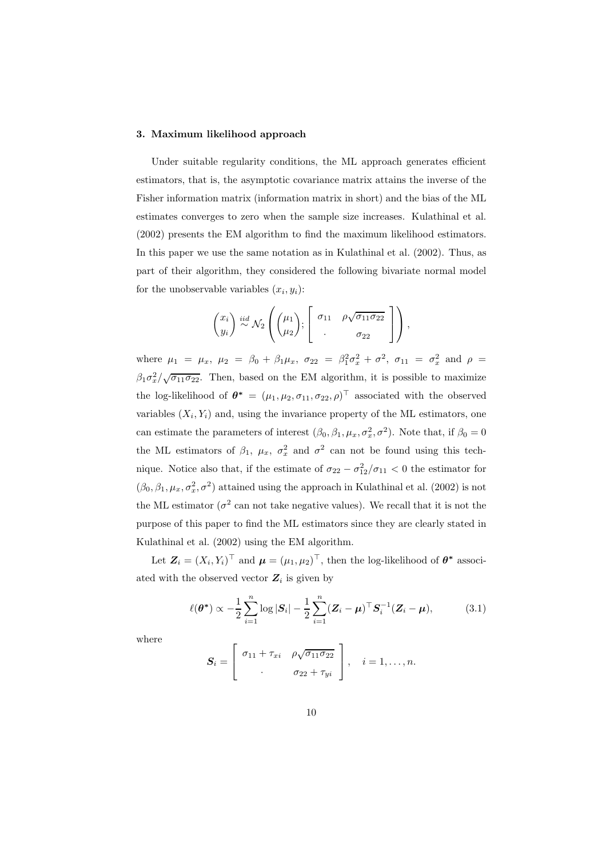# 3. Maximum likelihood approach

Under suitable regularity conditions, the ML approach generates efficient estimators, that is, the asymptotic covariance matrix attains the inverse of the Fisher information matrix (information matrix in short) and the bias of the ML estimates converges to zero when the sample size increases. Kulathinal et al. (2002) presents the EM algorithm to find the maximum likelihood estimators. In this paper we use the same notation as in Kulathinal et al. (2002). Thus, as part of their algorithm, they considered the following bivariate normal model for the unobservable variables  $(x_i, y_i)$ :

$$
\begin{pmatrix} x_i \\ y_i \end{pmatrix} \stackrel{iid}{\sim} \mathcal{N}_2 \left( \begin{pmatrix} \mu_1 \\ \mu_2 \end{pmatrix}; \begin{bmatrix} \sigma_{11} & \rho \sqrt{\sigma_{11} \sigma_{22}} \\ . & \sigma_{22} \end{bmatrix} \right),
$$

where  $\mu_1 = \mu_x$ ,  $\mu_2 = \beta_0 + \beta_1 \mu_x$ ,  $\sigma_{22} = \beta_1^2 \sigma_x^2 + \sigma^2$ ,  $\sigma_{11} = \sigma_x^2$  and  $\rho =$  $\beta_1 \sigma_x^2 / \sqrt{\sigma_{11} \sigma_{22}}$ . Then, based on the EM algorithm, it is possible to maximize the log-likelihood of  $\theta^* = (\mu_1, \mu_2, \sigma_{11}, \sigma_{22}, \rho)^{\top}$  associated with the observed variables  $(X_i, Y_i)$  and, using the invariance property of the ML estimators, one can estimate the parameters of interest  $(\beta_0, \beta_1, \mu_x, \sigma_x^2, \sigma^2)$ . Note that, if  $\beta_0 = 0$ the ML estimators of  $\beta_1$ ,  $\mu_x$ ,  $\sigma_x^2$  and  $\sigma^2$  can not be found using this technique. Notice also that, if the estimate of  $\sigma_{22} - \sigma_{12}^2/\sigma_{11} < 0$  the estimator for  $(\beta_0, \beta_1, \mu_x, \sigma_x^2, \sigma^2)$  attained using the approach in Kulathinal et al. (2002) is not the ML estimator ( $\sigma^2$  can not take negative values). We recall that it is not the purpose of this paper to find the ML estimators since they are clearly stated in Kulathinal et al. (2002) using the EM algorithm.

Let  $\mathbf{Z}_i = (X_i, Y_i)^\top$  and  $\boldsymbol{\mu} = (\mu_1, \mu_2)^\top$ , then the log-likelihood of  $\boldsymbol{\theta}^*$  associated with the observed vector  $Z_i$  is given by

$$
\ell(\boldsymbol{\theta}^*) \propto -\frac{1}{2} \sum_{i=1}^n \log |\boldsymbol{S}_i| - \frac{1}{2} \sum_{i=1}^n (\boldsymbol{Z}_i - \boldsymbol{\mu})^\top \boldsymbol{S}_i^{-1} (\boldsymbol{Z}_i - \boldsymbol{\mu}), \tag{3.1}
$$

where

$$
\boldsymbol{S}_i = \left[ \begin{array}{cc} \sigma_{11} + \tau_{xi} & \rho \sqrt{\sigma_{11} \sigma_{22}} \\ \cdot & \sigma_{22} + \tau_{yi} \end{array} \right], \quad i = 1, \ldots, n.
$$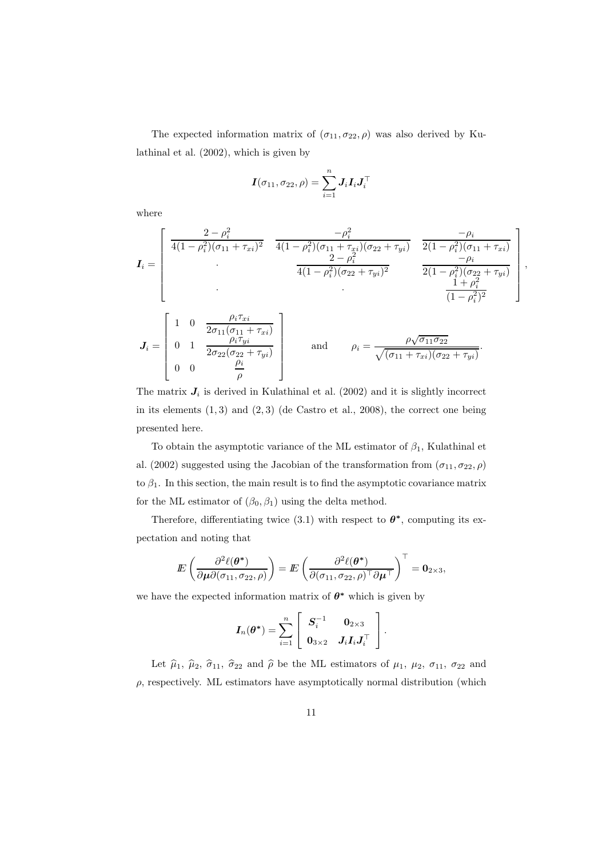The expected information matrix of  $(\sigma_{11}, \sigma_{22}, \rho)$  was also derived by Kulathinal et al. (2002), which is given by

$$
\boldsymbol{I}(\sigma_{11},\sigma_{22},\rho)=\sum_{i=1}^n\boldsymbol{J}_i\boldsymbol{I}_i\boldsymbol{J}_i^\top
$$

where

$$
\mathbf{I}_{i} = \begin{bmatrix} \frac{2 - \rho_{i}^{2}}{4(1 - \rho_{i}^{2})(\sigma_{11} + \tau_{xi})^{2}} & \frac{-\rho_{i}^{2}}{4(1 - \rho_{i}^{2})(\sigma_{11} + \tau_{xi})(\sigma_{22} + \tau_{yi})} & \frac{-\rho_{i}}{2(1 - \rho_{i}^{2})(\sigma_{11} + \tau_{xi})} \\ \cdot & \frac{2 - \rho_{i}^{2}}{4(1 - \rho_{i}^{2})(\sigma_{22} + \tau_{yi})^{2}} & \frac{-\rho_{i}}{2(1 - \rho_{i}^{2})(\sigma_{22} + \tau_{yi})} \\ \cdot & \frac{-\rho_{i}}{4(1 - \rho_{i}^{2})(\sigma_{22} + \tau_{yi})^{2}} & \frac{-\rho_{i}}{1 + \rho_{i}^{2}} \\ \cdot & \cdot & \frac{1 + \rho_{i}^{2}}{(1 - \rho_{i}^{2})^{2}} \end{bmatrix},
$$
\n
$$
\mathbf{J}_{i} = \begin{bmatrix} 1 & 0 & \frac{\rho_{i}\tau_{xi}}{2\sigma_{11}(\sigma_{11} + \tau_{xi})} \\ 0 & 1 & \frac{\rho_{i}\tau_{yi}}{2\sigma_{22}(\sigma_{22} + \tau_{yi})} \\ 0 & 0 & \frac{\rho_{i}}{\rho} \end{bmatrix} \text{ and } \rho_{i} = \frac{\rho\sqrt{\sigma_{11}\sigma_{22}}}{\sqrt{(\sigma_{11} + \tau_{xi})(\sigma_{22} + \tau_{yi})}}.
$$

The matrix  $J_i$  is derived in Kulathinal et al. (2002) and it is slightly incorrect in its elements  $(1,3)$  and  $(2,3)$  (de Castro et al., 2008), the correct one being presented here.

To obtain the asymptotic variance of the ML estimator of  $\beta_1$ , Kulathinal et al. (2002) suggested using the Jacobian of the transformation from  $(\sigma_{11}, \sigma_{22}, \rho)$ to  $\beta_1$ . In this section, the main result is to find the asymptotic covariance matrix for the ML estimator of  $(\beta_0, \beta_1)$  using the delta method.

Therefore, differentiating twice (3.1) with respect to  $\theta^*$ , computing its expectation and noting that

$$
I\!\!E\left(\frac{\partial^2 \ell(\boldsymbol{\theta}^*)}{\partial \boldsymbol{\mu} \partial(\sigma_{11}, \sigma_{22}, \rho)}\right) = I\!\!E\left(\frac{\partial^2 \ell(\boldsymbol{\theta}^*)}{\partial(\sigma_{11}, \sigma_{22}, \rho)^\top \partial \boldsymbol{\mu}^\top}\right)^\top = \mathbf{0}_{2 \times 3},
$$

we have the expected information matrix of  $\theta^*$  which is given by

$$
\boldsymbol{I}_n(\boldsymbol{\theta^*}) = \sum_{i=1}^n \left[ \begin{array}{cc} \boldsymbol{S}_i^{-1} & \boldsymbol{0}_{2\times 3} \\ \boldsymbol{0}_{3\times 2} & \boldsymbol{J}_i \boldsymbol{I}_i \boldsymbol{J}_i^\top \end{array} \right].
$$

Let  $\hat{\mu}_1$ ,  $\hat{\mu}_2$ ,  $\hat{\sigma}_{11}$ ,  $\hat{\sigma}_{22}$  and  $\hat{\rho}$  be the ML estimators of  $\mu_1$ ,  $\mu_2$ ,  $\sigma_{11}$ ,  $\sigma_{22}$  and  $\rho$ , respectively. ML estimators have asymptotically normal distribution (which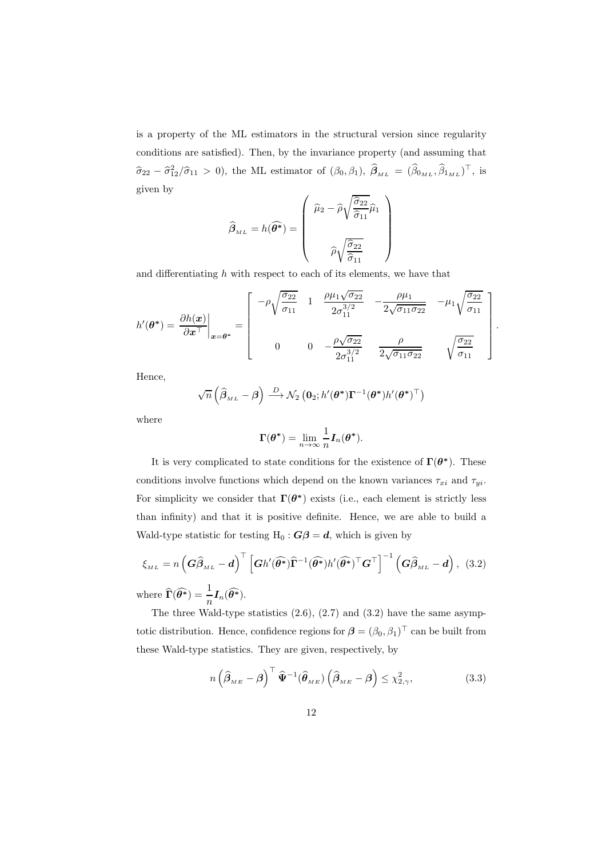is a property of the ML estimators in the structural version since regularity conditions are satisfied). Then, by the invariance property (and assuming that  $\hat{\sigma}_{22} - \hat{\sigma}_{12}^2/\hat{\sigma}_{11} > 0$ , the ML estimator of  $(\beta_0, \beta_1)$ ,  $\hat{\beta}_{ML} = (\hat{\beta}_{0_{ML}}, \hat{\beta}_{1_{ML}})^{\top}$ , is given by

$$
\widehat{\beta}_{ML} = h(\widehat{\theta^*}) = \begin{pmatrix} \widehat{\mu}_2 - \widehat{\rho}\sqrt{\frac{\widehat{\sigma}_{22}}{\widehat{\sigma}_{11}}}\widehat{\mu}_1 \\ \\ \widehat{\rho}\sqrt{\frac{\widehat{\sigma}_{22}}{\widehat{\sigma}_{11}}} \end{pmatrix}
$$

and differentiating  $h$  with respect to each of its elements, we have that

$$
h'(\theta^*) = \frac{\partial h(x)}{\partial x^{\top}}\Big|_{x=\theta^*} = \begin{bmatrix} -\rho \sqrt{\frac{\sigma_{22}}{\sigma_{11}}} & 1 & \frac{\rho \mu_1 \sqrt{\sigma_{22}}}{2\sigma_{11}^{3/2}} & -\frac{\rho \mu_1}{2\sqrt{\sigma_{11} \sigma_{22}}} & -\mu_1 \sqrt{\frac{\sigma_{22}}{\sigma_{11}}} \\ 0 & 0 & -\frac{\rho \sqrt{\sigma_{22}}}{2\sigma_{11}^{3/2}} & \frac{\rho}{2\sqrt{\sigma_{11} \sigma_{22}}} & \sqrt{\frac{\sigma_{22}}{\sigma_{11}}} \end{bmatrix}
$$

.

Hence,

$$
\sqrt{n}\left(\widehat{\boldsymbol{\beta}}_{\scriptscriptstyle ML}-\boldsymbol{\beta}\right) \stackrel{D}{\longrightarrow} \mathcal{N}_2\left(\mathbf{0}_2; h'(\boldsymbol{\theta}^*)\boldsymbol{\Gamma}^{-1}(\boldsymbol{\theta}^*)h'(\boldsymbol{\theta}^*)^\top\right)
$$

where

$$
\Gamma(\boldsymbol{\theta}^*) = \lim_{n \to \infty} \frac{1}{n} \boldsymbol{I}_n(\boldsymbol{\theta}^*).
$$

It is very complicated to state conditions for the existence of  $\Gamma(\theta^*)$ . These conditions involve functions which depend on the known variances  $\tau_{xi}$  and  $\tau_{yi}$ . For simplicity we consider that  $\Gamma(\theta^*)$  exists (i.e., each element is strictly less than infinity) and that it is positive definite. Hence, we are able to build a Wald-type statistic for testing H<sub>0</sub> :  $G\beta = d$ , which is given by

$$
\xi_{ML} = n \left( \mathbf{G} \hat{\beta}_{ML} - \mathbf{d} \right)^{\top} \left[ \mathbf{G} h'(\widehat{\boldsymbol{\theta}^*}) \widehat{\boldsymbol{\Gamma}}^{-1} (\widehat{\boldsymbol{\theta}^*}) h'(\widehat{\boldsymbol{\theta}^*})^{\top} \mathbf{G}^{\top} \right]^{-1} \left( \mathbf{G} \hat{\beta}_{ML} - \mathbf{d} \right), (3.2)
$$
  
where  $\widehat{\boldsymbol{\Gamma}}(\widehat{\boldsymbol{\theta}^*}) = \frac{1}{n} \mathbf{I}_n(\widehat{\boldsymbol{\theta}^*}).$ 

The three Wald-type statistics  $(2.6)$ ,  $(2.7)$  and  $(3.2)$  have the same asymptotic distribution. Hence, confidence regions for  $\boldsymbol{\beta} = (\beta_0, \beta_1)^\top$  can be built from these Wald-type statistics. They are given, respectively, by

$$
n\left(\widehat{\beta}_{\scriptscriptstyle ME} - \beta\right)^{\top} \widehat{\Psi}^{-1}(\widehat{\theta}_{\scriptscriptstyle ME})\left(\widehat{\beta}_{\scriptscriptstyle ME} - \beta\right) \leq \chi^2_{2,\gamma},\tag{3.3}
$$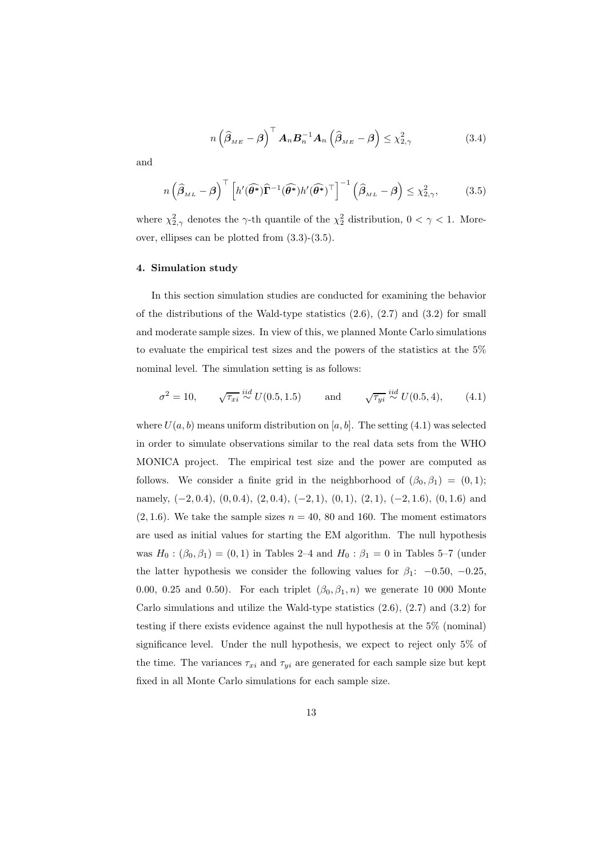$$
n\left(\widehat{\beta}_{_{ME}} - \beta\right)^{\top} A_n \mathcal{B}_n^{-1} A_n \left(\widehat{\beta}_{_{ME}} - \beta\right) \leq \chi^2_{2,\gamma} \tag{3.4}
$$

and

$$
n\left(\widehat{\boldsymbol{\beta}}_{\scriptscriptstyle ML} - \boldsymbol{\beta}\right)^{\top} \left[h'(\widehat{\boldsymbol{\theta}^*})\widehat{\boldsymbol{\Gamma}}^{-1}(\widehat{\boldsymbol{\theta}^*})h'(\widehat{\boldsymbol{\theta}^*})^{\top}\right]^{-1} \left(\widehat{\boldsymbol{\beta}}_{\scriptscriptstyle ML} - \boldsymbol{\beta}\right) \leq \chi^2_{2,\gamma},\tag{3.5}
$$

where  $\chi_{2,\gamma}^2$  denotes the  $\gamma$ -th quantile of the  $\chi_2^2$  distribution,  $0 < \gamma < 1$ . Moreover, ellipses can be plotted from (3.3)-(3.5).

## 4. Simulation study

In this section simulation studies are conducted for examining the behavior of the distributions of the Wald-type statistics  $(2.6), (2.7)$  and  $(3.2)$  for small and moderate sample sizes. In view of this, we planned Monte Carlo simulations to evaluate the empirical test sizes and the powers of the statistics at the 5% nominal level. The simulation setting is as follows:

$$
\sigma^2 = 10, \qquad \sqrt{\tau_{xi}} \stackrel{iid}{\sim} U(0.5, 1.5) \qquad \text{and} \qquad \sqrt{\tau_{yi}} \stackrel{iid}{\sim} U(0.5, 4), \qquad (4.1)
$$

where  $U(a, b)$  means uniform distribution on [a, b]. The setting (4.1) was selected in order to simulate observations similar to the real data sets from the WHO MONICA project. The empirical test size and the power are computed as follows. We consider a finite grid in the neighborhood of  $(\beta_0, \beta_1) = (0, 1);$ namely,  $(-2, 0.4)$ ,  $(0, 0.4)$ ,  $(2, 0.4)$ ,  $(-2, 1)$ ,  $(0, 1)$ ,  $(2, 1)$ ,  $(-2, 1.6)$ ,  $(0, 1.6)$  and  $(2, 1.6)$ . We take the sample sizes  $n = 40, 80$  and 160. The moment estimators are used as initial values for starting the EM algorithm. The null hypothesis was  $H_0: (\beta_0, \beta_1) = (0, 1)$  in Tables 2–4 and  $H_0: \beta_1 = 0$  in Tables 5–7 (under the latter hypothesis we consider the following values for  $\beta_1$ : -0.50, -0.25, 0.00, 0.25 and 0.50). For each triplet  $(\beta_0, \beta_1, n)$  we generate 10 000 Monte Carlo simulations and utilize the Wald-type statistics  $(2.6)$ ,  $(2.7)$  and  $(3.2)$  for testing if there exists evidence against the null hypothesis at the 5% (nominal) significance level. Under the null hypothesis, we expect to reject only 5% of the time. The variances  $\tau_{xi}$  and  $\tau_{yi}$  are generated for each sample size but kept fixed in all Monte Carlo simulations for each sample size.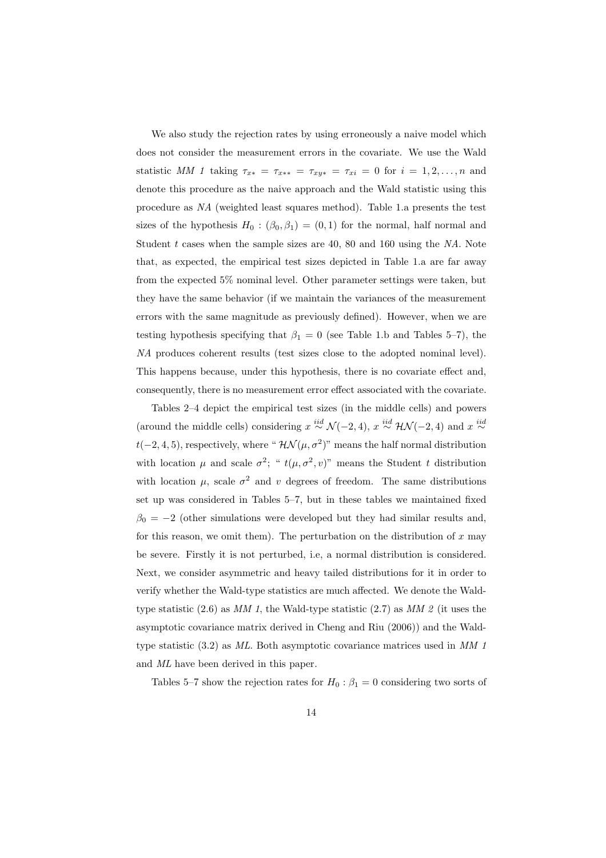We also study the rejection rates by using erroneously a naive model which does not consider the measurement errors in the covariate. We use the Wald statistic *MM 1* taking  $\tau_{x*} = \tau_{x**} = \tau_{xy*} = \tau_{xi} = 0$  for  $i = 1, 2, ..., n$  and denote this procedure as the naive approach and the Wald statistic using this procedure as *NA* (weighted least squares method). Table 1.a presents the test sizes of the hypothesis  $H_0 : (\beta_0, \beta_1) = (0, 1)$  for the normal, half normal and Student t cases when the sample sizes are 40, 80 and 160 using the *NA*. Note that, as expected, the empirical test sizes depicted in Table 1.a are far away from the expected 5% nominal level. Other parameter settings were taken, but they have the same behavior (if we maintain the variances of the measurement errors with the same magnitude as previously defined). However, when we are testing hypothesis specifying that  $\beta_1 = 0$  (see Table 1.b and Tables 5–7), the *NA* produces coherent results (test sizes close to the adopted nominal level). This happens because, under this hypothesis, there is no covariate effect and, consequently, there is no measurement error effect associated with the covariate.

Tables 2–4 depict the empirical test sizes (in the middle cells) and powers (around the middle cells) considering  $x \stackrel{iid}{\sim} \mathcal{N}(-2, 4)$ ,  $x \stackrel{iid}{\sim} \mathcal{HN}(-2, 4)$  and  $x \stackrel{iid}{\sim}$  $t(-2, 4, 5)$ , respectively, where " $\mathcal{HN}(\mu, \sigma^2)$ " means the half normal distribution with location  $\mu$  and scale  $\sigma^2$ ; "  $t(\mu, \sigma^2, v)$ " means the Student t distribution with location  $\mu$ , scale  $\sigma^2$  and v degrees of freedom. The same distributions set up was considered in Tables 5–7, but in these tables we maintained fixed  $\beta_0 = -2$  (other simulations were developed but they had similar results and, for this reason, we omit them). The perturbation on the distribution of  $x$  may be severe. Firstly it is not perturbed, i.e, a normal distribution is considered. Next, we consider asymmetric and heavy tailed distributions for it in order to verify whether the Wald-type statistics are much affected. We denote the Waldtype statistic (2.6) as *MM 1*, the Wald-type statistic (2.7) as *MM 2* (it uses the asymptotic covariance matrix derived in Cheng and Riu (2006)) and the Waldtype statistic (3.2) as *ML*. Both asymptotic covariance matrices used in *MM 1* and *ML* have been derived in this paper.

Tables 5–7 show the rejection rates for  $H_0$ :  $\beta_1 = 0$  considering two sorts of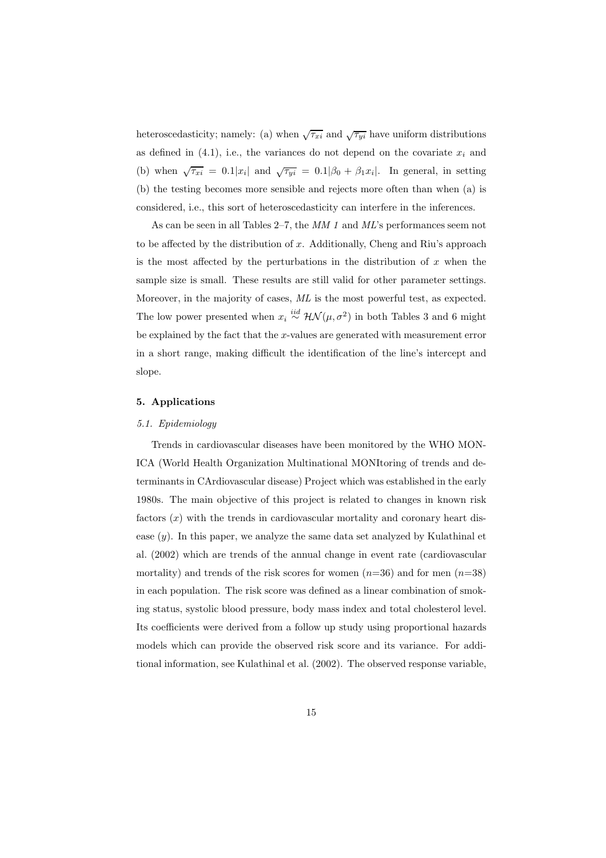heteroscedasticity; namely: (a) when  $\sqrt{\tau_{xi}}$  and  $\sqrt{\tau_{yi}}$  have uniform distributions as defined in  $(4.1)$ , i.e., the variances do not depend on the covariate  $x_i$  and (b) when  $\sqrt{\tau_{xi}} = 0.1|x_i|$  and  $\sqrt{\tau_{yi}} = 0.1|\beta_0 + \beta_1 x_i|$ . In general, in setting (b) the testing becomes more sensible and rejects more often than when (a) is considered, i.e., this sort of heteroscedasticity can interfere in the inferences.

As can be seen in all Tables 2–7, the *MM 1* and *ML*'s performances seem not to be affected by the distribution of  $x$ . Additionally, Cheng and Riu's approach is the most affected by the perturbations in the distribution of  $x$  when the sample size is small. These results are still valid for other parameter settings. Moreover, in the majority of cases, *ML* is the most powerful test, as expected. The low power presented when  $x_i \stackrel{iid}{\sim} \mathcal{HN}(\mu, \sigma^2)$  in both Tables 3 and 6 might be explained by the fact that the  $x$ -values are generated with measurement error in a short range, making difficult the identification of the line's intercept and slope.

#### 5. Applications

# *5.1. Epidemiology*

Trends in cardiovascular diseases have been monitored by the WHO MON-ICA (World Health Organization Multinational MONItoring of trends and determinants in CArdiovascular disease) Project which was established in the early 1980s. The main objective of this project is related to changes in known risk factors  $(x)$  with the trends in cardiovascular mortality and coronary heart disease  $(y)$ . In this paper, we analyze the same data set analyzed by Kulathinal et al. (2002) which are trends of the annual change in event rate (cardiovascular mortality) and trends of the risk scores for women  $(n=36)$  and for men  $(n=38)$ in each population. The risk score was defined as a linear combination of smoking status, systolic blood pressure, body mass index and total cholesterol level. Its coefficients were derived from a follow up study using proportional hazards models which can provide the observed risk score and its variance. For additional information, see Kulathinal et al. (2002). The observed response variable,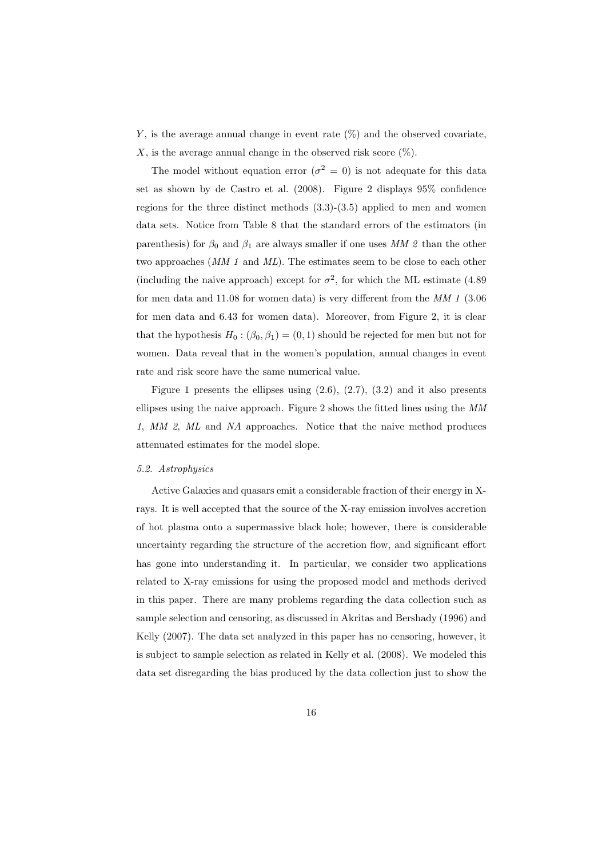Y, is the average annual change in event rate  $(\%)$  and the observed covariate, X, is the average annual change in the observed risk score  $(\%)$ .

The model without equation error ( $\sigma^2 = 0$ ) is not adequate for this data set as shown by de Castro et al. (2008). Figure 2 displays 95% confidence regions for the three distinct methods  $(3.3)-(3.5)$  applied to men and women data sets. Notice from Table 8 that the standard errors of the estimators (in parenthesis) for  $\beta_0$  and  $\beta_1$  are always smaller if one uses MM 2 than the other two approaches (*MM 1* and *ML*). The estimates seem to be close to each other (including the naive approach) except for  $\sigma^2$ , for which the ML estimate (4.89) for men data and 11.08 for women data) is very different from the *MM 1* (3.06 for men data and 6.43 for women data). Moreover, from Figure 2, it is clear that the hypothesis  $H_0$ :  $(\beta_0, \beta_1) = (0, 1)$  should be rejected for men but not for women. Data reveal that in the women's population, annual changes in event rate and risk score have the same numerical value.

Figure 1 presents the ellipses using  $(2.6), (2.7), (3.2)$  and it also presents ellipses using the naive approach. Figure 2 shows the fitted lines using the *MM 1*, *MM 2*, *ML* and *NA* approaches. Notice that the naive method produces attenuated estimates for the model slope.

## *5.2. Astrophysics*

Active Galaxies and quasars emit a considerable fraction of their energy in Xrays. It is well accepted that the source of the X-ray emission involves accretion of hot plasma onto a supermassive black hole; however, there is considerable uncertainty regarding the structure of the accretion flow, and significant effort has gone into understanding it. In particular, we consider two applications related to X-ray emissions for using the proposed model and methods derived in this paper. There are many problems regarding the data collection such as sample selection and censoring, as discussed in Akritas and Bershady (1996) and Kelly (2007). The data set analyzed in this paper has no censoring, however, it is subject to sample selection as related in Kelly et al. (2008). We modeled this data set disregarding the bias produced by the data collection just to show the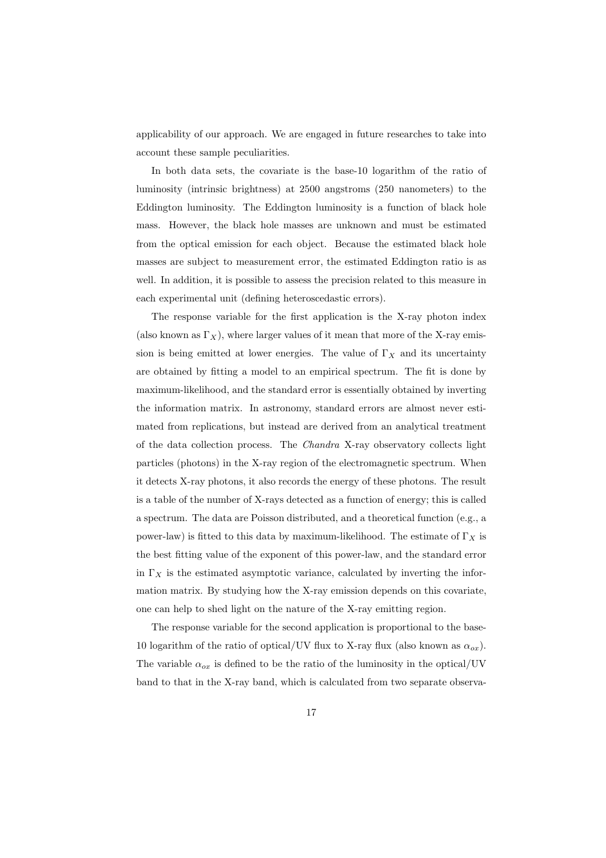applicability of our approach. We are engaged in future researches to take into account these sample peculiarities.

In both data sets, the covariate is the base-10 logarithm of the ratio of luminosity (intrinsic brightness) at 2500 angstroms (250 nanometers) to the Eddington luminosity. The Eddington luminosity is a function of black hole mass. However, the black hole masses are unknown and must be estimated from the optical emission for each object. Because the estimated black hole masses are subject to measurement error, the estimated Eddington ratio is as well. In addition, it is possible to assess the precision related to this measure in each experimental unit (defining heteroscedastic errors).

The response variable for the first application is the X-ray photon index (also known as  $\Gamma_X$ ), where larger values of it mean that more of the X-ray emission is being emitted at lower energies. The value of  $\Gamma_X$  and its uncertainty are obtained by fitting a model to an empirical spectrum. The fit is done by maximum-likelihood, and the standard error is essentially obtained by inverting the information matrix. In astronomy, standard errors are almost never estimated from replications, but instead are derived from an analytical treatment of the data collection process. The *Chandra* X-ray observatory collects light particles (photons) in the X-ray region of the electromagnetic spectrum. When it detects X-ray photons, it also records the energy of these photons. The result is a table of the number of X-rays detected as a function of energy; this is called a spectrum. The data are Poisson distributed, and a theoretical function (e.g., a power-law) is fitted to this data by maximum-likelihood. The estimate of  $\Gamma_X$  is the best fitting value of the exponent of this power-law, and the standard error in  $\Gamma_X$  is the estimated asymptotic variance, calculated by inverting the information matrix. By studying how the X-ray emission depends on this covariate, one can help to shed light on the nature of the X-ray emitting region.

The response variable for the second application is proportional to the base-10 logarithm of the ratio of optical/UV flux to X-ray flux (also known as  $\alpha_{ox}$ ). The variable  $\alpha_{ox}$  is defined to be the ratio of the luminosity in the optical/UV band to that in the X-ray band, which is calculated from two separate observa-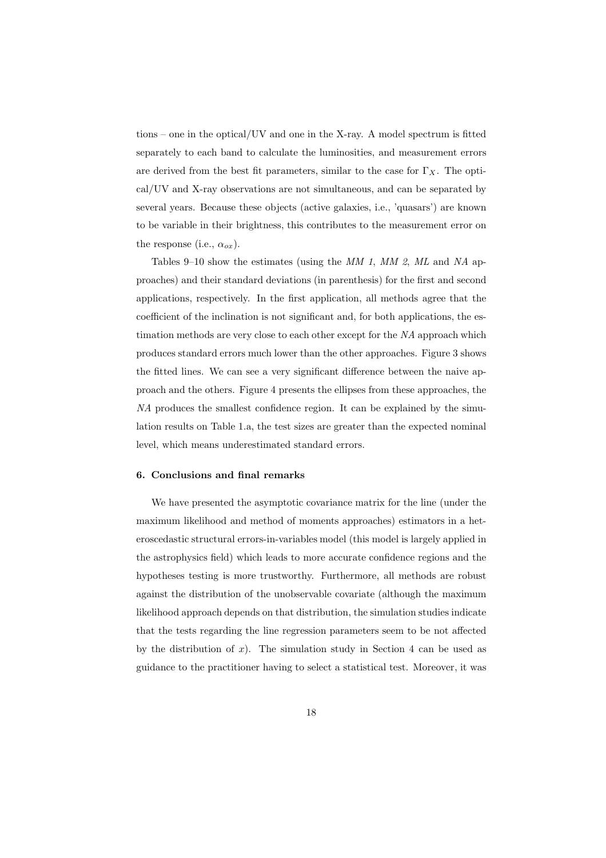tions – one in the optical/UV and one in the X-ray. A model spectrum is fitted separately to each band to calculate the luminosities, and measurement errors are derived from the best fit parameters, similar to the case for  $\Gamma_X$ . The optical/UV and X-ray observations are not simultaneous, and can be separated by several years. Because these objects (active galaxies, i.e., 'quasars') are known to be variable in their brightness, this contributes to the measurement error on the response (i.e.,  $\alpha_{ox}$ ).

Tables 9–10 show the estimates (using the *MM 1*, *MM 2*, *ML* and *NA* approaches) and their standard deviations (in parenthesis) for the first and second applications, respectively. In the first application, all methods agree that the coefficient of the inclination is not significant and, for both applications, the estimation methods are very close to each other except for the *NA* approach which produces standard errors much lower than the other approaches. Figure 3 shows the fitted lines. We can see a very significant difference between the naive approach and the others. Figure 4 presents the ellipses from these approaches, the *NA* produces the smallest confidence region. It can be explained by the simulation results on Table 1.a, the test sizes are greater than the expected nominal level, which means underestimated standard errors.

# 6. Conclusions and final remarks

We have presented the asymptotic covariance matrix for the line (under the maximum likelihood and method of moments approaches) estimators in a heteroscedastic structural errors-in-variables model (this model is largely applied in the astrophysics field) which leads to more accurate confidence regions and the hypotheses testing is more trustworthy. Furthermore, all methods are robust against the distribution of the unobservable covariate (although the maximum likelihood approach depends on that distribution, the simulation studies indicate that the tests regarding the line regression parameters seem to be not affected by the distribution of  $x$ ). The simulation study in Section 4 can be used as guidance to the practitioner having to select a statistical test. Moreover, it was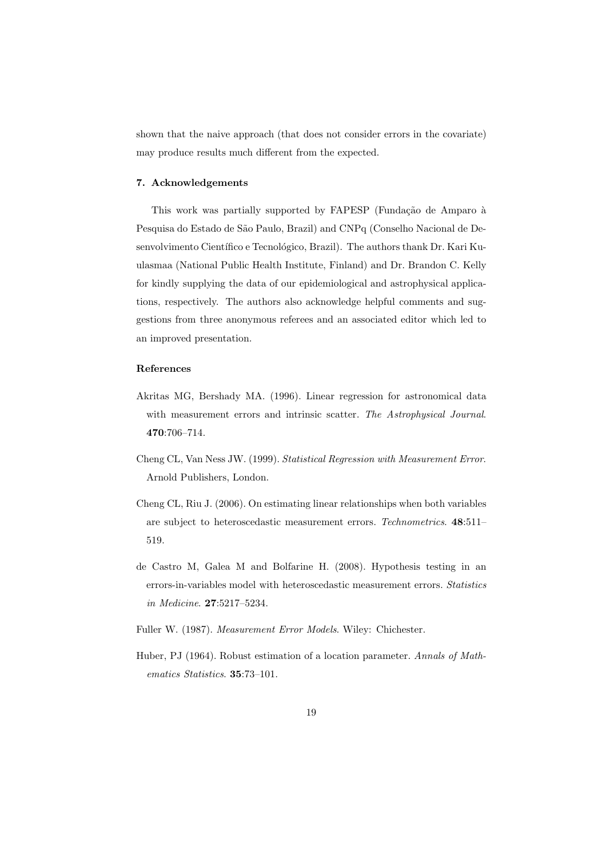shown that the naive approach (that does not consider errors in the covariate) may produce results much different from the expected.

# 7. Acknowledgements

This work was partially supported by FAPESP (Fundação de Amparo à Pesquisa do Estado de São Paulo, Brazil) and CNPq (Conselho Nacional de Desenvolvimento Científico e Tecnológico, Brazil). The authors thank Dr. Kari Kuulasmaa (National Public Health Institute, Finland) and Dr. Brandon C. Kelly for kindly supplying the data of our epidemiological and astrophysical applications, respectively. The authors also acknowledge helpful comments and suggestions from three anonymous referees and an associated editor which led to an improved presentation.

# References

- Akritas MG, Bershady MA. (1996). Linear regression for astronomical data with measurement errors and intrinsic scatter. *The Astrophysical Journal*. 470:706–714.
- Cheng CL, Van Ness JW. (1999). *Statistical Regression with Measurement Error*. Arnold Publishers, London.
- Cheng CL, Riu J. (2006). On estimating linear relationships when both variables are subject to heteroscedastic measurement errors. *Technometrics*. 48:511– 519.
- de Castro M, Galea M and Bolfarine H. (2008). Hypothesis testing in an errors-in-variables model with heteroscedastic measurement errors. *Statistics in Medicine*. 27:5217–5234.
- Fuller W. (1987). *Measurement Error Models*. Wiley: Chichester.
- Huber, PJ (1964). Robust estimation of a location parameter. *Annals of Mathematics Statistics*. 35:73–101.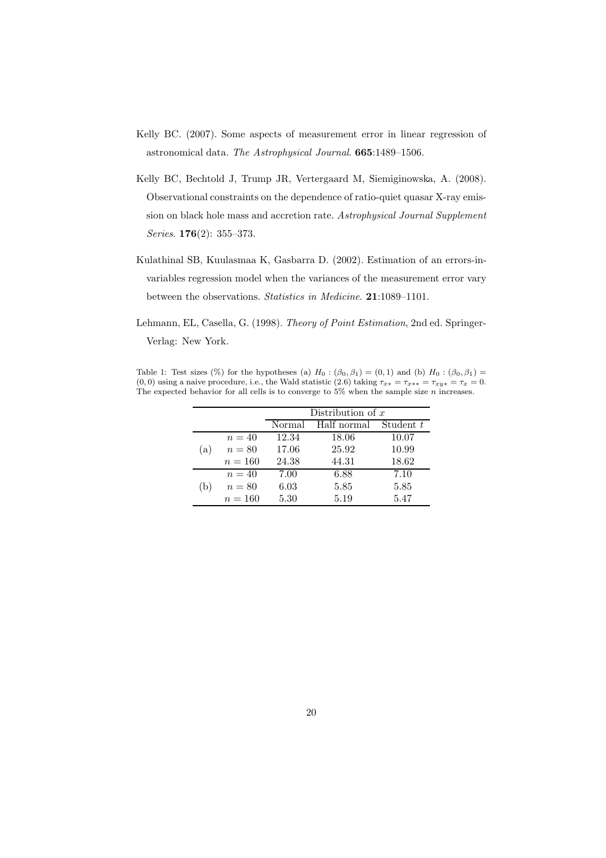- Kelly BC. (2007). Some aspects of measurement error in linear regression of astronomical data. *The Astrophysical Journal*. 665:1489–1506.
- Kelly BC, Bechtold J, Trump JR, Vertergaard M, Siemiginowska, A. (2008). Observational constraints on the dependence of ratio-quiet quasar X-ray emission on black hole mass and accretion rate. *Astrophysical Journal Supplement Series*. 176(2): 355–373.
- Kulathinal SB, Kuulasmaa K, Gasbarra D. (2002). Estimation of an errors-invariables regression model when the variances of the measurement error vary between the observations. *Statistics in Medicine*. 21:1089–1101.
- Lehmann, EL, Casella, G. (1998). *Theory of Point Estimation*, 2nd ed. Springer-Verlag: New York.

Table 1: Test sizes (%) for the hypotheses (a)  $H_0$ :  $(\beta_0, \beta_1) = (0, 1)$  and (b)  $H_0$ :  $(\beta_0, \beta_1) =$ (0, 0) using a naive procedure, i.e., the Wald statistic (2.6) taking  $\tau_{x*} = \tau_{x**} = \tau_{xy*} = \tau_x = 0$ . The expected behavior for all cells is to converge to  $5\%$  when the sample size n increases.

|     |           |        | Distribution of $x$ |           |
|-----|-----------|--------|---------------------|-----------|
|     |           | Normal | Half normal         | Student t |
|     | $n=40$    | 12.34  | 18.06               | 10.07     |
| (a) | $n=80$    | 17.06  | 25.92               | 10.99     |
|     | $n = 160$ | 24.38  | 44.31               | 18.62     |
|     | $n=40$    | 7.00   | 6.88                | 7.10      |
| b.  | $n=80$    | 6.03   | 5.85                | 5.85      |
|     | $n = 160$ | 5.30   | 5.19                | 5.47      |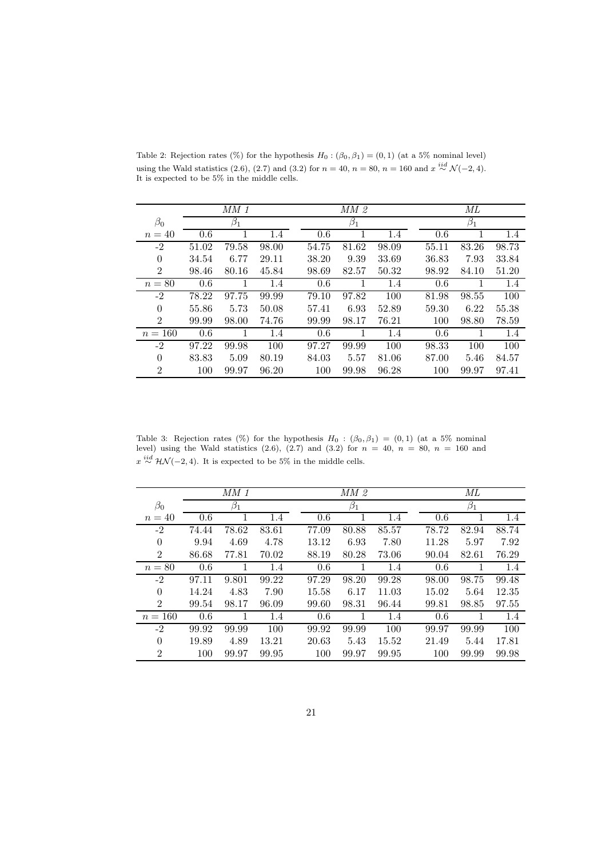|                | $MM$ 1 |           |       | MM2   |           |       | МL    |           |         |
|----------------|--------|-----------|-------|-------|-----------|-------|-------|-----------|---------|
| $\beta_0$      |        | $\beta_1$ |       |       | $\beta_1$ |       |       | $\beta_1$ |         |
| $n=40$         | 0.6    |           | 1.4   | 0.6   |           | 1.4   | 0.6   |           | $1.4\,$ |
| -2             | 51.02  | 79.58     | 98.00 | 54.75 | 81.62     | 98.09 | 55.11 | 83.26     | 98.73   |
| $\theta$       | 34.54  | 6.77      | 29.11 | 38.20 | 9.39      | 33.69 | 36.83 | 7.93      | 33.84   |
| $\overline{2}$ | 98.46  | 80.16     | 45.84 | 98.69 | 82.57     | 50.32 | 98.92 | 84.10     | 51.20   |
| $n=80$         | 0.6    |           | 1.4   | 0.6   |           | 1.4   | 0.6   |           | $1.4\,$ |
| -2             | 78.22  | 97.75     | 99.99 | 79.10 | 97.82     | 100   | 81.98 | 98.55     | 100     |
| $\Omega$       | 55.86  | 5.73      | 50.08 | 57.41 | 6.93      | 52.89 | 59.30 | 6.22      | 55.38   |
| $\overline{2}$ | 99.99  | 98.00     | 74.76 | 99.99 | 98.17     | 76.21 | 100   | 98.80     | 78.59   |
| $n = 160$      | 0.6    |           | 1.4   | 0.6   |           | 1.4   | 0.6   |           | 1.4     |
| $-2$           | 97.22  | 99.98     | 100   | 97.27 | 99.99     | 100   | 98.33 | 100       | 100     |
| $\theta$       | 83.83  | 5.09      | 80.19 | 84.03 | 5.57      | 81.06 | 87.00 | 5.46      | 84.57   |
| $\overline{2}$ | 100    | 99.97     | 96.20 | 100   | 99.98     | 96.28 | 100   | 99.97     | 97.41   |

Table 2: Rejection rates (%) for the hypothesis  $H_0: (\beta_0, \beta_1) = (0, 1)$  (at a 5% nominal level) using the Wald statistics (2.6), (2.7) and (3.2) for  $n = 40$ ,  $n = 80$ ,  $n = 160$  and  $x \stackrel{iid}{\sim} \mathcal{N}(-2, 4)$ .<br>It is expected to be 5% in the middle cells.

Table 3: Rejection rates (%) for the hypothesis  $H_0$  :  $(\beta_0, \beta_1) = (0, 1)$  (at a 5% nominal level) using the Wald statistics  $(2.6), (2.7)$  and  $(3.2)$  for  $n = 40, n = 80, n = 160$  and  $x \stackrel{iid}{\sim} \mathcal{HN}(-2, 4)$ . It is expected to be 5% in the middle cells.

|                |       | $MM$ 1    |       |       | MM 2      |       |       | МL        |       |
|----------------|-------|-----------|-------|-------|-----------|-------|-------|-----------|-------|
| $\beta_0$      |       | $\beta_1$ |       |       | $\beta_1$ |       |       | $\beta_1$ |       |
| $n=40$         | 0.6   |           | 1.4   | 0.6   |           | 1.4   | 0.6   |           | 1.4   |
| $-2$           | 74.44 | 78.62     | 83.61 | 77.09 | 80.88     | 85.57 | 78.72 | 82.94     | 88.74 |
| $\theta$       | 9.94  | 4.69      | 4.78  | 13.12 | 6.93      | 7.80  | 11.28 | 5.97      | 7.92  |
| $\overline{2}$ | 86.68 | 77.81     | 70.02 | 88.19 | 80.28     | 73.06 | 90.04 | 82.61     | 76.29 |
| $n=80$         | 0.6   |           | 1.4   | 0.6   | 1         | 1.4   | 0.6   |           | 1.4   |
| $-2$           | 97.11 | 9.801     | 99.22 | 97.29 | 98.20     | 99.28 | 98.00 | 98.75     | 99.48 |
| $\theta$       | 14.24 | 4.83      | 7.90  | 15.58 | 6.17      | 11.03 | 15.02 | 5.64      | 12.35 |
| $\overline{2}$ | 99.54 | 98.17     | 96.09 | 99.60 | 98.31     | 96.44 | 99.81 | 98.85     | 97.55 |
| $n = 160$      | 0.6   |           | 1.4   | 0.6   |           | 1.4   | 0.6   | 1         | 1.4   |
| $-2$           | 99.92 | 99.99     | 100   | 99.92 | 99.99     | 100   | 99.97 | 99.99     | 100   |
| $\Omega$       | 19.89 | 4.89      | 13.21 | 20.63 | 5.43      | 15.52 | 21.49 | 5.44      | 17.81 |
| $\overline{2}$ | 100   | 99.97     | 99.95 | 100   | 99.97     | 99.95 | 100   | 99.99     | 99.98 |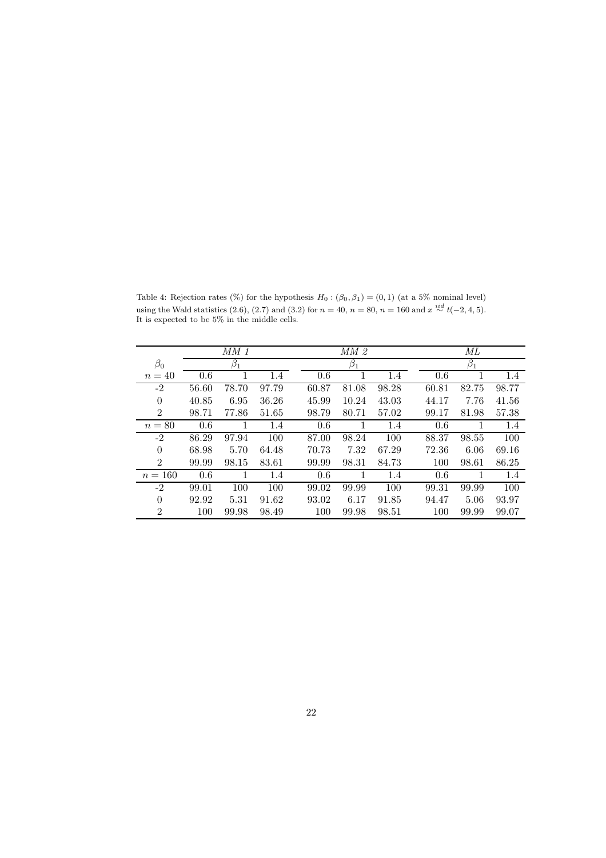Table 4: Rejection rates (%) for the hypothesis  $H_0: (\beta_0, \beta_1) = (0, 1)$  (at a 5% nominal level) using the Wald statistics (2.6), (2.7) and (3.2) for  $n = 40$ ,  $n = 80$ ,  $n = 160$  and  $x \stackrel{iid}{\sim} t(-2, 4, 5)$ .<br>It is expected to be 5% in the middle cells.

|                |       | $MM$ 1    |       |       | MM <sub>2</sub> |       |       | МL        |         |  |
|----------------|-------|-----------|-------|-------|-----------------|-------|-------|-----------|---------|--|
| $\beta_0$      |       | $\beta_1$ |       |       | $\beta_1$       |       |       | $\beta_1$ |         |  |
| $n=40$         | 0.6   |           | 1.4   | 0.6   |                 | 1.4   | 0.6   |           | $1.4\,$ |  |
| $-2$           | 56.60 | 78.70     | 97.79 | 60.87 | 81.08           | 98.28 | 60.81 | 82.75     | 98.77   |  |
| $\theta$       | 40.85 | 6.95      | 36.26 | 45.99 | 10.24           | 43.03 | 44.17 | 7.76      | 41.56   |  |
| $\overline{2}$ | 98.71 | 77.86     | 51.65 | 98.79 | 80.71           | 57.02 | 99.17 | 81.98     | 57.38   |  |
| $n=80$         | 0.6   |           | 1.4   | 0.6   | 1               | 1.4   | 0.6   |           | 1.4     |  |
| $-2$           | 86.29 | 97.94     | 100   | 87.00 | 98.24           | 100   | 88.37 | 98.55     | 100     |  |
| $\theta$       | 68.98 | 5.70      | 64.48 | 70.73 | 7.32            | 67.29 | 72.36 | 6.06      | 69.16   |  |
| $\overline{2}$ | 99.99 | 98.15     | 83.61 | 99.99 | 98.31           | 84.73 | 100   | 98.61     | 86.25   |  |
| $n = 160$      | 0.6   | 1         | 1.4   | 0.6   | 1               | 1.4   | 0.6   | 1         | 1.4     |  |
| $-2$           | 99.01 | 100       | 100   | 99.02 | 99.99           | 100   | 99.31 | 99.99     | 100     |  |
| $\theta$       | 92.92 | 5.31      | 91.62 | 93.02 | 6.17            | 91.85 | 94.47 | 5.06      | 93.97   |  |
| $\overline{2}$ | 100   | 99.98     | 98.49 | 100   | 99.98           | 98.51 | 100   | 99.99     | 99.07   |  |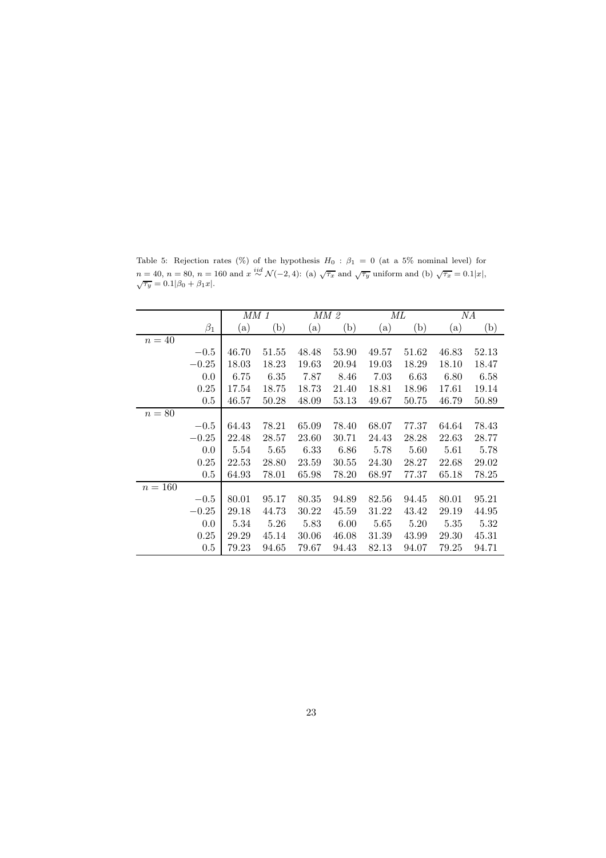|           |           | MM 1  |       |       | MM 2  |       | МL    |       | NА    |
|-----------|-----------|-------|-------|-------|-------|-------|-------|-------|-------|
|           | $\beta_1$ | (a)   | (b)   | (a)   | (b)   | (a)   | (b)   | (a)   | (b)   |
| $n=40$    |           |       |       |       |       |       |       |       |       |
|           | $-0.5$    | 46.70 | 51.55 | 48.48 | 53.90 | 49.57 | 51.62 | 46.83 | 52.13 |
|           | $-0.25$   | 18.03 | 18.23 | 19.63 | 20.94 | 19.03 | 18.29 | 18.10 | 18.47 |
|           | 0.0       | 6.75  | 6.35  | 7.87  | 8.46  | 7.03  | 6.63  | 6.80  | 6.58  |
|           | 0.25      | 17.54 | 18.75 | 18.73 | 21.40 | 18.81 | 18.96 | 17.61 | 19.14 |
|           | 0.5       | 46.57 | 50.28 | 48.09 | 53.13 | 49.67 | 50.75 | 46.79 | 50.89 |
| $n=80$    |           |       |       |       |       |       |       |       |       |
|           | $-0.5$    | 64.43 | 78.21 | 65.09 | 78.40 | 68.07 | 77.37 | 64.64 | 78.43 |
|           | $-0.25$   | 22.48 | 28.57 | 23.60 | 30.71 | 24.43 | 28.28 | 22.63 | 28.77 |
|           | 0.0       | 5.54  | 5.65  | 6.33  | 6.86  | 5.78  | 5.60  | 5.61  | 5.78  |
|           | 0.25      | 22.53 | 28.80 | 23.59 | 30.55 | 24.30 | 28.27 | 22.68 | 29.02 |
|           | 0.5       | 64.93 | 78.01 | 65.98 | 78.20 | 68.97 | 77.37 | 65.18 | 78.25 |
| $n = 160$ |           |       |       |       |       |       |       |       |       |
|           | $-0.5$    | 80.01 | 95.17 | 80.35 | 94.89 | 82.56 | 94.45 | 80.01 | 95.21 |
|           | $-0.25$   | 29.18 | 44.73 | 30.22 | 45.59 | 31.22 | 43.42 | 29.19 | 44.95 |
|           | 0.0       | 5.34  | 5.26  | 5.83  | 6.00  | 5.65  | 5.20  | 5.35  | 5.32  |
|           | 0.25      | 29.29 | 45.14 | 30.06 | 46.08 | 31.39 | 43.99 | 29.30 | 45.31 |
|           | $0.5\,$   | 79.23 | 94.65 | 79.67 | 94.43 | 82.13 | 94.07 | 79.25 | 94.71 |

Table 5: Rejection rates (%) of the hypothesis  $H_0$ :  $\beta_1 = 0$  (at a 5% nominal level) for  $n = 40, n = 80, n = 160 \text{ and } x \stackrel{iid}{\sim} \mathcal{N}(-2, 4)$ : (a)  $\sqrt{\tau_x}$  and  $\sqrt{\tau_y}$  uniform and (b)  $\sqrt{\tau_x} = 0.1|x|,$ <br> $\sqrt{\tau_y} = 0.1|\beta_0 + \beta_1 x|$ .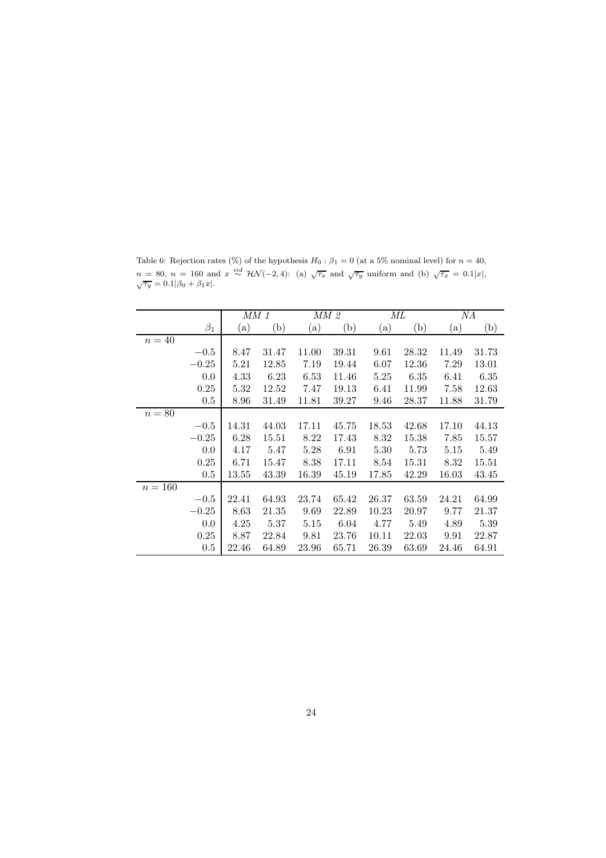|           |           | MM 1  |       |       | MM 2  | МL    |       |           | ΝA    |
|-----------|-----------|-------|-------|-------|-------|-------|-------|-----------|-------|
|           | $\beta_1$ | (a)   | (b)   | (a)   | (b)   | (a)   | (b)   | $\rm (a)$ | (b)   |
| $n=40$    |           |       |       |       |       |       |       |           |       |
|           | $-0.5$    | 8.47  | 31.47 | 11.00 | 39.31 | 9.61  | 28.32 | 11.49     | 31.73 |
|           | $-0.25$   | 5.21  | 12.85 | 7.19  | 19.44 | 6.07  | 12.36 | 7.29      | 13.01 |
|           | 0.0       | 4.33  | 6.23  | 6.53  | 11.46 | 5.25  | 6.35  | 6.41      | 6.35  |
|           | 0.25      | 5.32  | 12.52 | 7.47  | 19.13 | 6.41  | 11.99 | 7.58      | 12.63 |
|           | 0.5       | 8.96  | 31.49 | 11.81 | 39.27 | 9.46  | 28.37 | 11.88     | 31.79 |
| $n = 80$  |           |       |       |       |       |       |       |           |       |
|           | $-0.5$    | 14.31 | 44.03 | 17.11 | 45.75 | 18.53 | 42.68 | 17.10     | 44.13 |
|           | $-0.25$   | 6.28  | 15.51 | 8.22  | 17.43 | 8.32  | 15.38 | 7.85      | 15.57 |
|           | 0.0       | 4.17  | 5.47  | 5.28  | 6.91  | 5.30  | 5.73  | 5.15      | 5.49  |
|           | 0.25      | 6.71  | 15.47 | 8.38  | 17.11 | 8.54  | 15.31 | 8.32      | 15.51 |
|           | 0.5       | 13.55 | 43.39 | 16.39 | 45.19 | 17.85 | 42.29 | 16.03     | 43.45 |
| $n = 160$ |           |       |       |       |       |       |       |           |       |
|           | $-0.5$    | 22.41 | 64.93 | 23.74 | 65.42 | 26.37 | 63.59 | 24.21     | 64.99 |
|           | $-0.25$   | 8.63  | 21.35 | 9.69  | 22.89 | 10.23 | 20.97 | 9.77      | 21.37 |
|           | 0.0       | 4.25  | 5.37  | 5.15  | 6.04  | 4.77  | 5.49  | 4.89      | 5.39  |
|           | 0.25      | 8.87  | 22.84 | 9.81  | 23.76 | 10.11 | 22.03 | 9.91      | 22.87 |
|           | 0.5       | 22.46 | 64.89 | 23.96 | 65.71 | 26.39 | 63.69 | 24.46     | 64.91 |

Table 6: Rejection rates (%) of the hypothesis  $H_0$ :  $\beta_1 = 0$  (at a 5% nominal level) for  $n = 40$ ,  $n = 80$ ,  $n = 160$  and  $x \stackrel{iid}{\sim} \mathcal{HN}(-2, 4)$ : (a)  $\sqrt{\tau_x}$  and  $\sqrt{\tau_y}$  uniform and (b)  $\sqrt{\tau_x} = 0.1|x|$ ,  $\sqrt{\tau_y} = 0.1|\beta_0 + \beta_1x|$ .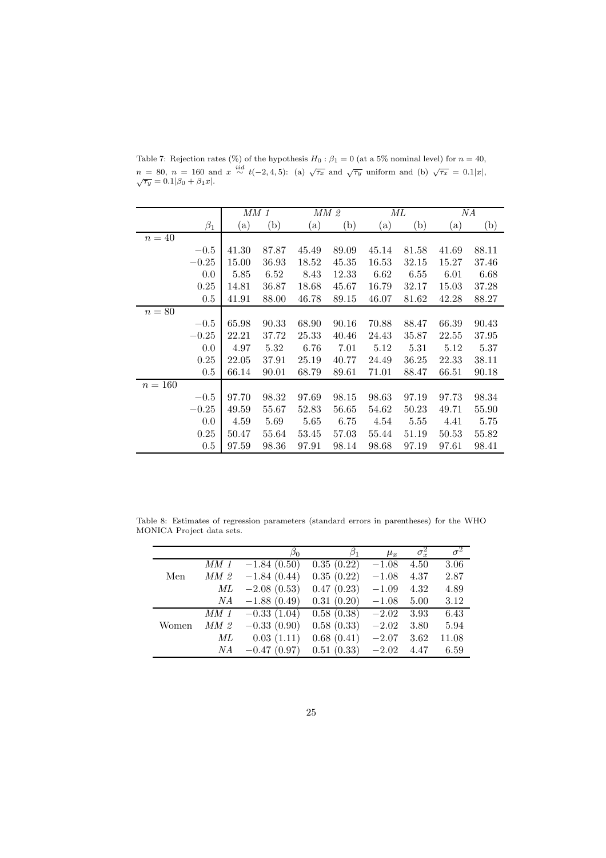|           |           | MM 1  |       |       | MM 2  |       | МL    |       | NА    |
|-----------|-----------|-------|-------|-------|-------|-------|-------|-------|-------|
|           | $\beta_1$ | (a)   | (b)   | (a)   | (b)   | (a)   | (b)   | (a)   | (b)   |
| $n=40$    |           |       |       |       |       |       |       |       |       |
|           | $-0.5$    | 41.30 | 87.87 | 45.49 | 89.09 | 45.14 | 81.58 | 41.69 | 88.11 |
|           | $-0.25$   | 15.00 | 36.93 | 18.52 | 45.35 | 16.53 | 32.15 | 15.27 | 37.46 |
|           | 0.0       | 5.85  | 6.52  | 8.43  | 12.33 | 6.62  | 6.55  | 6.01  | 6.68  |
|           | 0.25      | 14.81 | 36.87 | 18.68 | 45.67 | 16.79 | 32.17 | 15.03 | 37.28 |
|           | 0.5       | 41.91 | 88.00 | 46.78 | 89.15 | 46.07 | 81.62 | 42.28 | 88.27 |
| $n=80$    |           |       |       |       |       |       |       |       |       |
|           | $-0.5$    | 65.98 | 90.33 | 68.90 | 90.16 | 70.88 | 88.47 | 66.39 | 90.43 |
|           | $-0.25$   | 22.21 | 37.72 | 25.33 | 40.46 | 24.43 | 35.87 | 22.55 | 37.95 |
|           | 0.0       | 4.97  | 5.32  | 6.76  | 7.01  | 5.12  | 5.31  | 5.12  | 5.37  |
|           | 0.25      | 22.05 | 37.91 | 25.19 | 40.77 | 24.49 | 36.25 | 22.33 | 38.11 |
|           | 0.5       | 66.14 | 90.01 | 68.79 | 89.61 | 71.01 | 88.47 | 66.51 | 90.18 |
| $n = 160$ |           |       |       |       |       |       |       |       |       |
|           | $-0.5$    | 97.70 | 98.32 | 97.69 | 98.15 | 98.63 | 97.19 | 97.73 | 98.34 |
|           | $-0.25$   | 49.59 | 55.67 | 52.83 | 56.65 | 54.62 | 50.23 | 49.71 | 55.90 |
|           | 0.0       | 4.59  | 5.69  | 5.65  | 6.75  | 4.54  | 5.55  | 4.41  | 5.75  |
|           | 0.25      | 50.47 | 55.64 | 53.45 | 57.03 | 55.44 | 51.19 | 50.53 | 55.82 |
|           | 0.5       | 97.59 | 98.36 | 97.91 | 98.14 | 98.68 | 97.19 | 97.61 | 98.41 |

Table 7: Rejection rates (%) of the hypothesis  $H_0$ :  $\beta_1 = 0$  (at a 5% nominal level) for  $n = 40$ ,  $n = 80$ ,  $n = 160$  and  $x \stackrel{iid}{\sim} t(-2, 4, 5)$ : (a)  $\sqrt{\tau_x}$  and  $\sqrt{\tau_y}$  uniform and (b)  $\sqrt{\tau_x} = 0.1|x|$ ,  $\sqrt{\tau_y} = 0.1|B_0 + B_1x|$ .

Table 8: Estimates of regression parameters (standard errors in parentheses) for the WHO MONICA Project data sets.

|       |        | $\beta_0$     | $\beta_1$  | $\mu_x$ | $\sigma_x^2$ | $\overline{\sigma^2}$ |
|-------|--------|---------------|------------|---------|--------------|-----------------------|
|       | $MM$ 1 | $-1.84(0.50)$ | 0.35(0.22) | $-1.08$ | 4.50         | 3.06                  |
| Men   | MM2    | $-1.84(0.44)$ | 0.35(0.22) | $-1.08$ | 4.37         | 2.87                  |
|       | МL     | $-2.08(0.53)$ | 0.47(0.23) | $-1.09$ | 4.32         | 4.89                  |
|       | NА     | $-1.88(0.49)$ | 0.31(0.20) | $-1.08$ | 5.00         | 3.12                  |
|       | $MM$ 1 | $-0.33(1.04)$ | 0.58(0.38) | $-2.02$ | 3.93         | 6.43                  |
| Women | MM2    | $-0.33(0.90)$ | 0.58(0.33) | $-2.02$ | 3.80         | 5.94                  |
|       | МL     | 0.03(1.11)    | 0.68(0.41) | $-2.07$ | 3.62         | 11.08                 |
|       | NА     | $-0.47(0.97)$ | 0.51(0.33) | $-2.02$ | 4.47         | 6.59                  |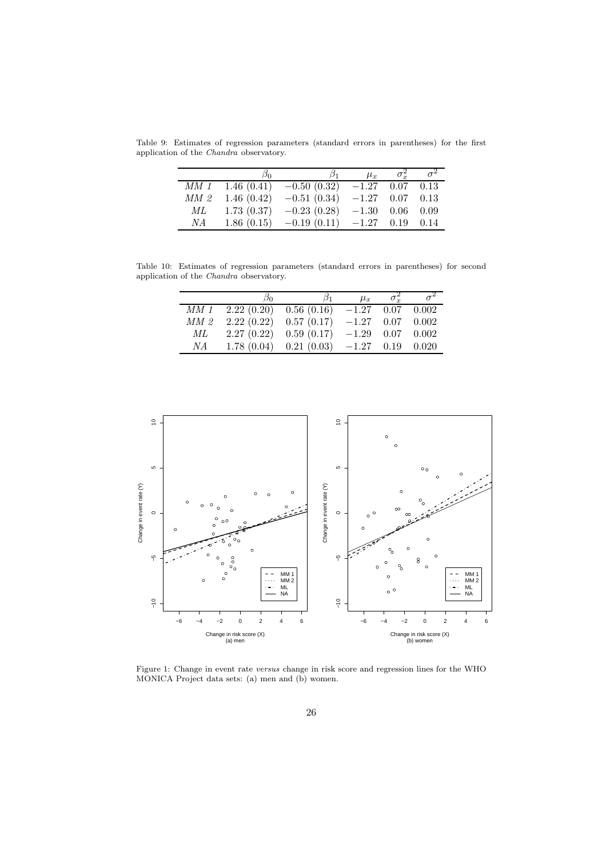Table 9: Estimates of regression parameters (standard errors in parentheses) for the first application of the Chandra observatory.

|        | ്റ         | $\beta_1$     | $\mu_x$           | $\sigma_{r}^2$ | $\sigma^2$ |
|--------|------------|---------------|-------------------|----------------|------------|
| $MM$ 1 | 1.46(0.41) | $-0.50(0.32)$ | $-1.27$           | $0.07$ 0.13    |            |
| MM2    | 1.46(0.42) | $-0.51(0.34)$ | $-1.27$ 0.07 0.13 |                |            |
| МL     | 1.73(0.37) | $-0.23(0.28)$ | $-1.30$           | 0.06           | 0.09       |
| NA     | 1.86(0.15) | $-0.19(0.11)$ | $-1.27$           | 0.19           | 0.14       |

Table 10: Estimates of regression parameters (standard errors in parentheses) for second application of the Chandra observatory.

|                 | სი | $\beta_1$                                                    | $\mu_x$ | $\sigma_{r}^2$ |  |
|-----------------|----|--------------------------------------------------------------|---------|----------------|--|
|                 |    | $\overline{MM}$ 1 2.22 (0.20) 0.56 (0.16) $-1.27$ 0.07 0.002 |         |                |  |
| MM <sub>2</sub> |    | $2.22(0.22)$ $0.57(0.17)$ $-1.27$ $0.07$ $0.002$             |         |                |  |
| ML              |    | $2.27(0.22)$ $0.59(0.17)$ $-1.29$ $0.07$ $0.002$             |         |                |  |
| N A             |    | $1.78(0.04)$ $0.21(0.03)$ $-1.27$ $0.19$ $0.020$             |         |                |  |



Figure 1: Change in event rate versus change in risk score and regression lines for the WHO MONICA Project data sets: (a) men and (b) women.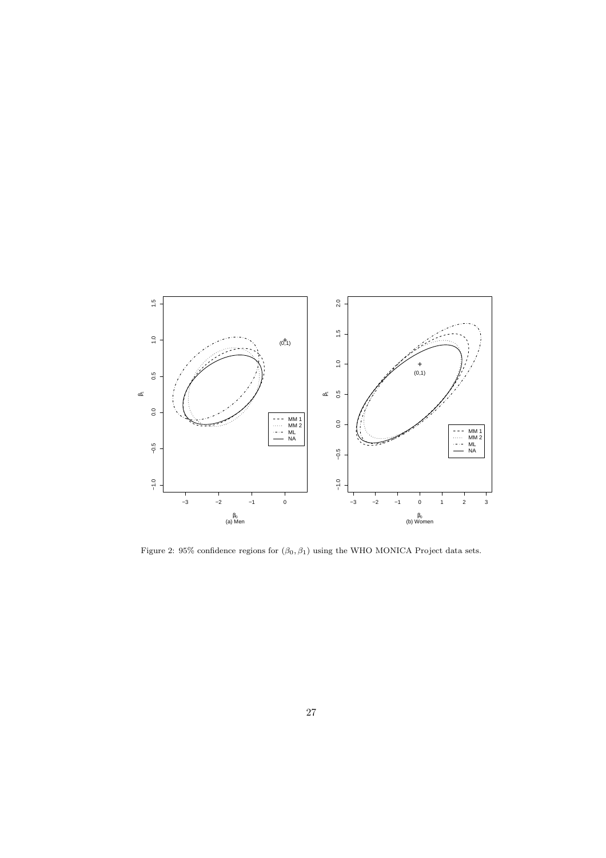

Figure 2: 95% confidence regions for  $(\beta_0, \beta_1)$  using the WHO MONICA Project data sets.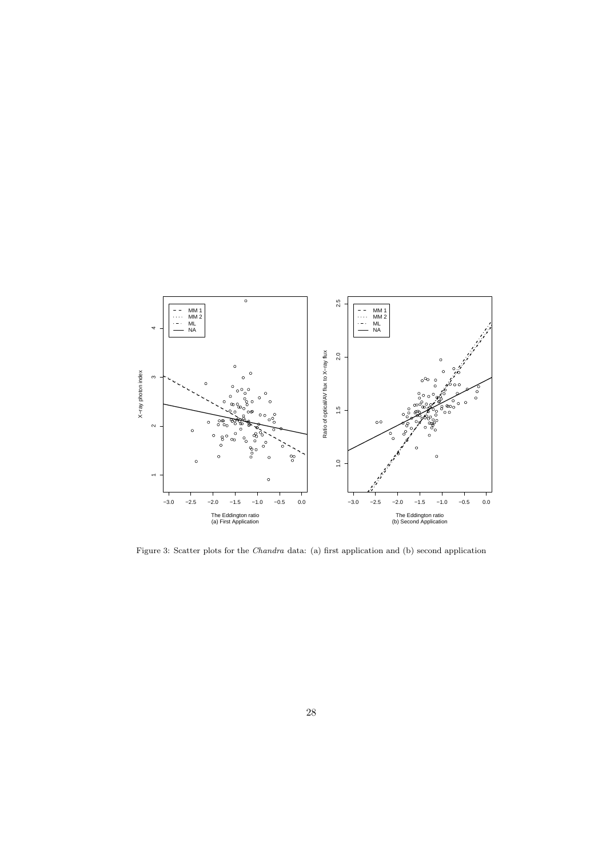

Figure 3: Scatter plots for the Chandra data: (a) first application and (b) second application